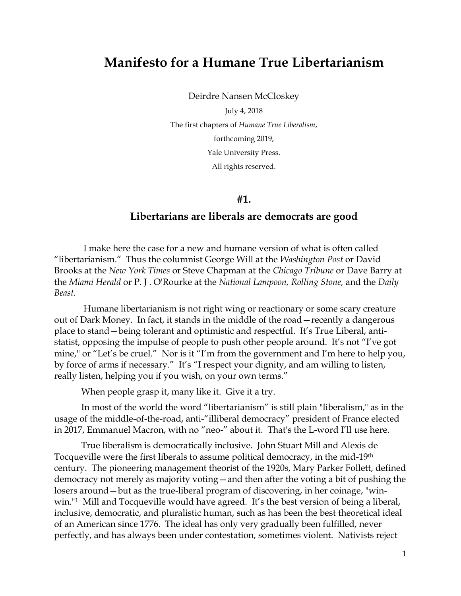## **Manifesto for a Humane True Libertarianism**

Deirdre Nansen McCloskey

July 4, 2018 The first chapters of *Humane True Liberalism*, forthcoming 2019, Yale University Press. All rights reserved.

**#1.** 

### **Libertarians are liberals are democrats are good**

I make here the case for a new and humane version of what is often called "libertarianism." Thus the columnist George Will at the *Washington Post* or David Brooks at the *New York Times* or Steve Chapman at the *Chicago Tribune* or Dave Barry at the *Miami Herald* or P. J . O'Rourke at the *National Lampoon, Rolling Stone,* and the *Daily Beast.*

Humane libertarianism is not right wing or reactionary or some scary creature out of Dark Money. In fact, it stands in the middle of the road—recently a dangerous place to stand—being tolerant and optimistic and respectful. It's True Liberal, antistatist, opposing the impulse of people to push other people around. It's not "I've got mine," or "Let's be cruel." Nor is it "I'm from the government and I'm here to help you, by force of arms if necessary." It's "I respect your dignity, and am willing to listen, really listen, helping you if you wish, on your own terms."

When people grasp it, many like it. Give it a try.

In most of the world the word "libertarianism" is still plain "liberalism," as in the usage of the middle-of-the-road, anti-"illiberal democracy" president of France elected in 2017, Emmanuel Macron, with no "neo-" about it. That's the L-word I'll use here.

True liberalism is democratically inclusive. John Stuart Mill and Alexis de Tocqueville were the first liberals to assume political democracy, in the mid-19th century. The pioneering management theorist of the 1920s, Mary Parker Follett, defined democracy not merely as majority voting—and then after the voting a bit of pushing the losers around—but as the true-liberal program of discovering, in her coinage, "winwin."<sup>1</sup> Mill and Tocqueville would have agreed. It's the best version of being a liberal, inclusive, democratic, and pluralistic human, such as has been the best theoretical ideal of an American since 1776. The ideal has only very gradually been fulfilled, never perfectly, and has always been under contestation, sometimes violent. Nativists reject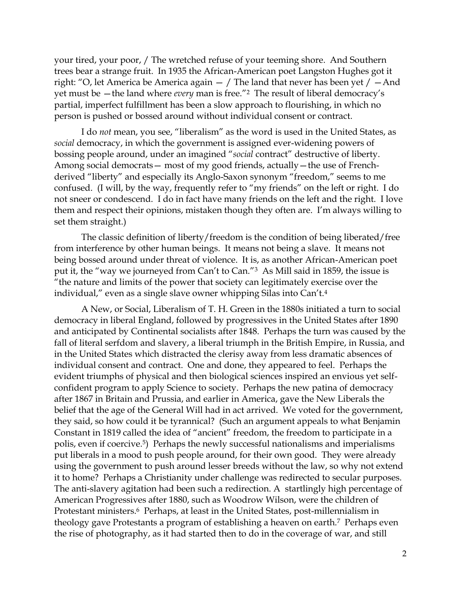your tired, your poor, / The wretched refuse of your teeming shore. And Southern trees bear a strange fruit. In 1935 the African-American poet Langston Hughes got it right: "O, let America be America again  $-$  / The land that never has been yet /  $-$  And yet must be —the land where *every* man is free."<sup>2</sup> The result of liberal democracy's partial, imperfect fulfillment has been a slow approach to flourishing, in which no person is pushed or bossed around without individual consent or contract.

I do *not* mean, you see, "liberalism" as the word is used in the United States, as *social* democracy, in which the government is assigned ever-widening powers of bossing people around, under an imagined "*social* contract" destructive of liberty. Among social democrats— most of my good friends, actually—the use of Frenchderived "liberty" and especially its Anglo-Saxon synonym "freedom," seems to me confused. (I will, by the way, frequently refer to "my friends" on the left or right. I do not sneer or condescend. I do in fact have many friends on the left and the right. I love them and respect their opinions, mistaken though they often are. I'm always willing to set them straight.)

The classic definition of liberty/freedom is the condition of being liberated/free from interference by other human beings. It means not being a slave. It means not being bossed around under threat of violence. It is, as another African-American poet put it, the "way we journeyed from Can't to Can."3 As Mill said in 1859, the issue is "the nature and limits of the power that society can legitimately exercise over the individual," even as a single slave owner whipping Silas into Can't.<sup>4</sup>

A New, or Social, Liberalism of T. H. Green in the 1880s initiated a turn to social democracy in liberal England, followed by progressives in the United States after 1890 and anticipated by Continental socialists after 1848. Perhaps the turn was caused by the fall of literal serfdom and slavery, a liberal triumph in the British Empire, in Russia, and in the United States which distracted the clerisy away from less dramatic absences of individual consent and contract. One and done, they appeared to feel. Perhaps the evident triumphs of physical and then biological sciences inspired an envious yet selfconfident program to apply Science to society. Perhaps the new patina of democracy after 1867 in Britain and Prussia, and earlier in America, gave the New Liberals the belief that the age of the General Will had in act arrived. We voted for the government, they said, so how could it be tyrannical? (Such an argument appeals to what Benjamin Constant in 1819 called the idea of "ancient" freedom, the freedom to participate in a polis, even if coercive.5) Perhaps the newly successful nationalisms and imperialisms put liberals in a mood to push people around, for their own good. They were already using the government to push around lesser breeds without the law, so why not extend it to home? Perhaps a Christianity under challenge was redirected to secular purposes. The anti-slavery agitation had been such a redirection. A startlingly high percentage of American Progressives after 1880, such as Woodrow Wilson, were the children of Protestant ministers.6 Perhaps, at least in the United States, post-millennialism in theology gave Protestants a program of establishing a heaven on earth.7 Perhaps even the rise of photography, as it had started then to do in the coverage of war, and still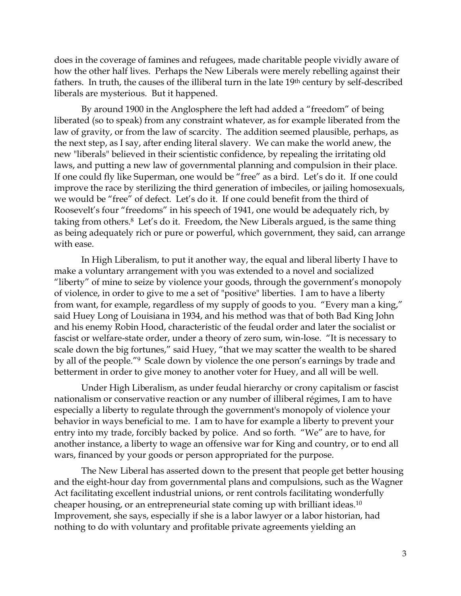does in the coverage of famines and refugees, made charitable people vividly aware of how the other half lives. Perhaps the New Liberals were merely rebelling against their fathers. In truth, the causes of the illiberal turn in the late 19<sup>th</sup> century by self-described liberals are mysterious. But it happened.

By around 1900 in the Anglosphere the left had added a "freedom" of being liberated (so to speak) from any constraint whatever, as for example liberated from the law of gravity, or from the law of scarcity. The addition seemed plausible, perhaps, as the next step, as I say, after ending literal slavery. We can make the world anew, the new "liberals" believed in their scientistic confidence, by repealing the irritating old laws, and putting a new law of governmental planning and compulsion in their place. If one could fly like Superman, one would be "free" as a bird. Let's do it. If one could improve the race by sterilizing the third generation of imbeciles, or jailing homosexuals, we would be "free" of defect. Let's do it. If one could benefit from the third of Roosevelt's four "freedoms" in his speech of 1941, one would be adequately rich, by taking from others.<sup>8</sup> Let's do it. Freedom, the New Liberals argued, is the same thing as being adequately rich or pure or powerful, which government, they said, can arrange with ease.

In High Liberalism, to put it another way, the equal and liberal liberty I have to make a voluntary arrangement with you was extended to a novel and socialized "liberty" of mine to seize by violence your goods, through the government's monopoly of violence, in order to give to me a set of "positive" liberties. I am to have a liberty from want, for example, regardless of my supply of goods to you. "Every man a king," said Huey Long of Louisiana in 1934, and his method was that of both Bad King John and his enemy Robin Hood, characteristic of the feudal order and later the socialist or fascist or welfare-state order, under a theory of zero sum, win-lose. "It is necessary to scale down the big fortunes," said Huey, "that we may scatter the wealth to be shared by all of the people."9 Scale down by violence the one person's earnings by trade and betterment in order to give money to another voter for Huey, and all will be well.

Under High Liberalism, as under feudal hierarchy or crony capitalism or fascist nationalism or conservative reaction or any number of illiberal régimes, I am to have especially a liberty to regulate through the government's monopoly of violence your behavior in ways beneficial to me. I am to have for example a liberty to prevent your entry into my trade, forcibly backed by police. And so forth. "We" are to have, for another instance, a liberty to wage an offensive war for King and country, or to end all wars, financed by your goods or person appropriated for the purpose.

The New Liberal has asserted down to the present that people get better housing and the eight-hour day from governmental plans and compulsions, such as the Wagner Act facilitating excellent industrial unions, or rent controls facilitating wonderfully cheaper housing, or an entrepreneurial state coming up with brilliant ideas.<sup>10</sup> Improvement, she says, especially if she is a labor lawyer or a labor historian, had nothing to do with voluntary and profitable private agreements yielding an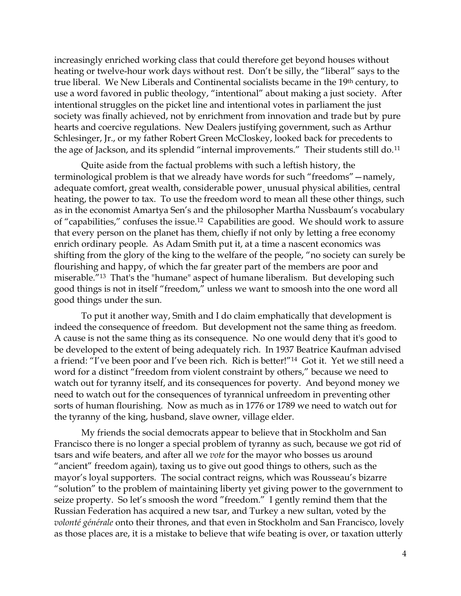increasingly enriched working class that could therefore get beyond houses without heating or twelve-hour work days without rest. Don't be silly, the "liberal" says to the true liberal. We New Liberals and Continental socialists became in the 19th century, to use a word favored in public theology, "intentional" about making a just society. After intentional struggles on the picket line and intentional votes in parliament the just society was finally achieved, not by enrichment from innovation and trade but by pure hearts and coercive regulations. New Dealers justifying government, such as Arthur Schlesinger, Jr., or my father Robert Green McCloskey, looked back for precedents to the age of Jackson, and its splendid "internal improvements." Their students still do.<sup>11</sup>

Quite aside from the factual problems with such a leftish history, the terminological problem is that we already have words for such "freedoms"—namely, adequate comfort, great wealth, considerable power¸ unusual physical abilities, central heating, the power to tax. To use the freedom word to mean all these other things, such as in the economist Amartya Sen's and the philosopher Martha Nussbaum's vocabulary of "capabilities," confuses the issue.12 Capabilities are good. We should work to assure that every person on the planet has them, chiefly if not only by letting a free economy enrich ordinary people. As Adam Smith put it, at a time a nascent economics was shifting from the glory of the king to the welfare of the people, "no society can surely be flourishing and happy, of which the far greater part of the members are poor and miserable."13 That's the "humane" aspect of humane liberalism. But developing such good things is not in itself "freedom," unless we want to smoosh into the one word all good things under the sun.

To put it another way, Smith and I do claim emphatically that development is indeed the consequence of freedom. But development not the same thing as freedom. A cause is not the same thing as its consequence. No one would deny that it's good to be developed to the extent of being adequately rich. In 1937 Beatrice Kaufman advised a friend: "I've been poor and I've been rich. Rich is better!"14 Got it. Yet we still need a word for a distinct "freedom from violent constraint by others," because we need to watch out for tyranny itself, and its consequences for poverty. And beyond money we need to watch out for the consequences of tyrannical unfreedom in preventing other sorts of human flourishing. Now as much as in 1776 or 1789 we need to watch out for the tyranny of the king, husband, slave owner, village elder.

My friends the social democrats appear to believe that in Stockholm and San Francisco there is no longer a special problem of tyranny as such, because we got rid of tsars and wife beaters, and after all we *vote* for the mayor who bosses us around "ancient" freedom again), taxing us to give out good things to others, such as the mayor's loyal supporters. The social contract reigns, which was Rousseau's bizarre "solution" to the problem of maintaining liberty yet giving power to the government to seize property. So let's smoosh the word "freedom." I gently remind them that the Russian Federation has acquired a new tsar, and Turkey a new sultan, voted by the *volonté générale* onto their thrones, and that even in Stockholm and San Francisco, lovely as those places are, it is a mistake to believe that wife beating is over, or taxation utterly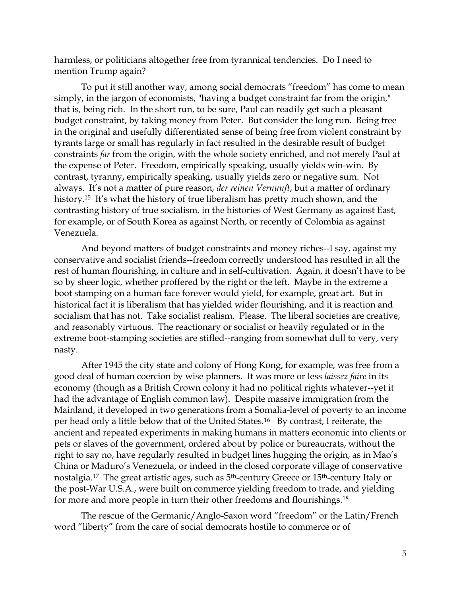harmless, or politicians altogether free from tyrannical tendencies. Do I need to mention Trump again?

To put it still another way, among social democrats "freedom" has come to mean simply, in the jargon of economists, "having a budget constraint far from the origin," that is, being rich. In the short run, to be sure, Paul can readily get such a pleasant budget constraint, by taking money from Peter. But consider the long run. Being free in the original and usefully differentiated sense of being free from violent constraint by tyrants large or small has regularly in fact resulted in the desirable result of budget constraints *far* from the origin, with the whole society enriched, and not merely Paul at the expense of Peter. Freedom, empirically speaking, usually yields win-win. By contrast, tyranny, empirically speaking, usually yields zero or negative sum. Not always. It's not a matter of pure reason, *der reinen Vernunft*, but a matter of ordinary history.<sup>15</sup> It's what the history of true liberalism has pretty much shown, and the contrasting history of true socialism, in the histories of West Germany as against East, for example, or of South Korea as against North, or recently of Colombia as against Venezuela.

And beyond matters of budget constraints and money riches--I say, against my conservative and socialist friends--freedom correctly understood has resulted in all the rest of human flourishing, in culture and in self-cultivation. Again, it doesn't have to be so by sheer logic, whether proffered by the right or the left. Maybe in the extreme a boot stamping on a human face forever would yield, for example, great art. But in historical fact it is liberalism that has yielded wider flourishing, and it is reaction and socialism that has not. Take socialist realism. Please. The liberal societies are creative, and reasonably virtuous. The reactionary or socialist or heavily regulated or in the extreme boot-stamping societies are stifled--ranging from somewhat dull to very, very nasty.

After 1945 the city state and colony of Hong Kong, for example, was free from a good deal of human coercion by wise planners. It was more or less *laissez faire* in its economy (though as a British Crown colony it had no political rights whatever--yet it had the advantage of English common law). Despite massive immigration from the Mainland, it developed in two generations from a Somalia-level of poverty to an income per head only a little below that of the United States.16 By contrast, I reiterate, the ancient and repeated experiments in making humans in matters economic into clients or pets or slaves of the government, ordered about by police or bureaucrats, without the right to say no, have regularly resulted in budget lines hugging the origin, as in Mao's China or Maduro's Venezuela, or indeed in the closed corporate village of conservative nostalgia.17 The great artistic ages, such as 5th-century Greece or 15th-century Italy or the post-War U.S.A., were built on commerce yielding freedom to trade, and yielding for more and more people in turn their other freedoms and flourishings.<sup>18</sup>

The rescue of the Germanic/Anglo-Saxon word "freedom" or the Latin/French word "liberty" from the care of social democrats hostile to commerce or of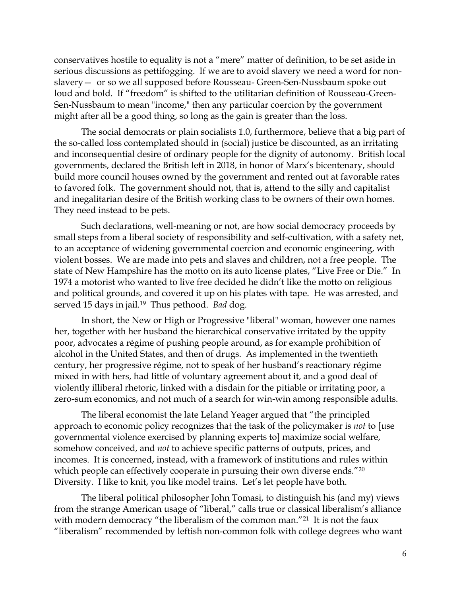conservatives hostile to equality is not a "mere" matter of definition, to be set aside in serious discussions as pettifogging. If we are to avoid slavery we need a word for nonslavery— or so we all supposed before Rousseau- Green-Sen-Nussbaum spoke out loud and bold. If "freedom" is shifted to the utilitarian definition of Rousseau-Green-Sen-Nussbaum to mean "income," then any particular coercion by the government might after all be a good thing, so long as the gain is greater than the loss.

The social democrats or plain socialists 1.0, furthermore, believe that a big part of the so-called loss contemplated should in (social) justice be discounted, as an irritating and inconsequential desire of ordinary people for the dignity of autonomy. British local governments, declared the British left in 2018, in honor of Marx's bicentenary, should build more council houses owned by the government and rented out at favorable rates to favored folk. The government should not, that is, attend to the silly and capitalist and inegalitarian desire of the British working class to be owners of their own homes. They need instead to be pets.

Such declarations, well-meaning or not, are how social democracy proceeds by small steps from a liberal society of responsibility and self-cultivation, with a safety net, to an acceptance of widening governmental coercion and economic engineering, with violent bosses. We are made into pets and slaves and children, not a free people. The state of New Hampshire has the motto on its auto license plates, "Live Free or Die." In 1974 a motorist who wanted to live free decided he didn't like the motto on religious and political grounds, and covered it up on his plates with tape. He was arrested, and served 15 days in jail.19 Thus pethood. *Bad* dog.

In short, the New or High or Progressive "liberal" woman, however one names her, together with her husband the hierarchical conservative irritated by the uppity poor, advocates a régime of pushing people around, as for example prohibition of alcohol in the United States, and then of drugs. As implemented in the twentieth century, her progressive régime, not to speak of her husband's reactionary régime mixed in with hers, had little of voluntary agreement about it, and a good deal of violently illiberal rhetoric, linked with a disdain for the pitiable or irritating poor, a zero-sum economics, and not much of a search for win-win among responsible adults.

The liberal economist the late Leland Yeager argued that "the principled approach to economic policy recognizes that the task of the policymaker is *not* to [use governmental violence exercised by planning experts to] maximize social welfare, somehow conceived, and *not* to achieve specific patterns of outputs, prices, and incomes. It is concerned, instead, with a framework of institutions and rules within which people can effectively cooperate in pursuing their own diverse ends."20 Diversity. I like to knit, you like model trains. Let's let people have both.

The liberal political philosopher John Tomasi, to distinguish his (and my) views from the strange American usage of "liberal," calls true or classical liberalism's alliance with modern democracy "the liberalism of the common man."<sup>21</sup> It is not the faux "liberalism" recommended by leftish non-common folk with college degrees who want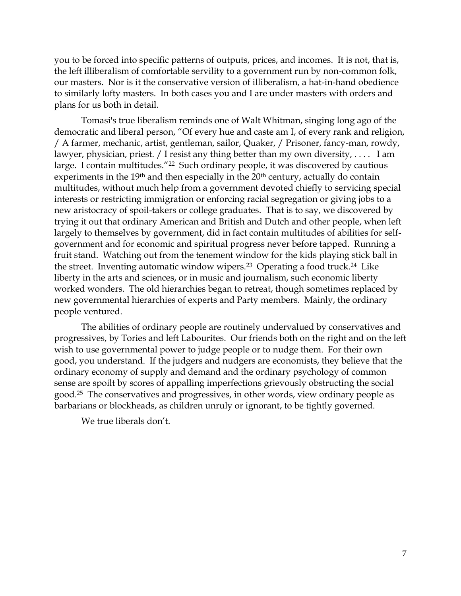you to be forced into specific patterns of outputs, prices, and incomes. It is not, that is, the left illiberalism of comfortable servility to a government run by non-common folk, our masters. Nor is it the conservative version of illiberalism, a hat-in-hand obedience to similarly lofty masters. In both cases you and I are under masters with orders and plans for us both in detail.

Tomasi's true liberalism reminds one of Walt Whitman, singing long ago of the democratic and liberal person, "Of every hue and caste am I, of every rank and religion, / A farmer, mechanic, artist, gentleman, sailor, Quaker, / Prisoner, fancy-man, rowdy, lawyer, physician, priest. / I resist any thing better than my own diversity, .... I am large. I contain multitudes."<sup>22</sup> Such ordinary people, it was discovered by cautious experiments in the 19<sup>th</sup> and then especially in the 20<sup>th</sup> century, actually do contain multitudes, without much help from a government devoted chiefly to servicing special interests or restricting immigration or enforcing racial segregation or giving jobs to a new aristocracy of spoil-takers or college graduates. That is to say, we discovered by trying it out that ordinary American and British and Dutch and other people, when left largely to themselves by government, did in fact contain multitudes of abilities for selfgovernment and for economic and spiritual progress never before tapped. Running a fruit stand. Watching out from the tenement window for the kids playing stick ball in the street. Inventing automatic window wipers.23 Operating a food truck.24 Like liberty in the arts and sciences, or in music and journalism, such economic liberty worked wonders. The old hierarchies began to retreat, though sometimes replaced by new governmental hierarchies of experts and Party members. Mainly, the ordinary people ventured.

The abilities of ordinary people are routinely undervalued by conservatives and progressives, by Tories and left Labourites. Our friends both on the right and on the left wish to use governmental power to judge people or to nudge them. For their own good, you understand. If the judgers and nudgers are economists, they believe that the ordinary economy of supply and demand and the ordinary psychology of common sense are spoilt by scores of appalling imperfections grievously obstructing the social good.25 The conservatives and progressives, in other words, view ordinary people as barbarians or blockheads, as children unruly or ignorant, to be tightly governed.

We true liberals don't.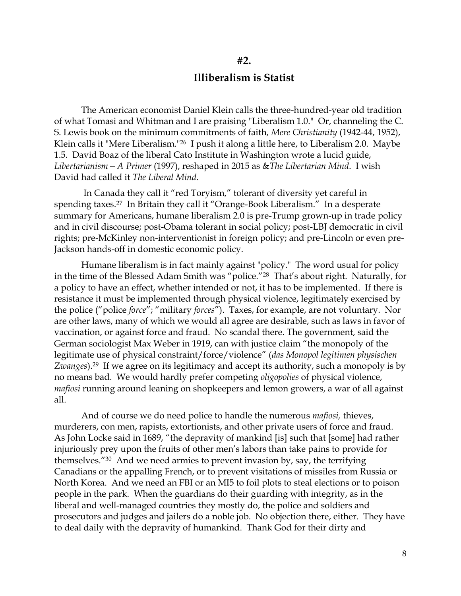### **Illiberalism is Statist**

**#2.**

The American economist Daniel Klein calls the three-hundred-year old tradition of what Tomasi and Whitman and I are praising "Liberalism 1.0." Or, channeling the C. S. Lewis book on the minimum commitments of faith, *Mere Christianity* (1942-44, 1952), Klein calls it "Mere Liberalism."<sup>26</sup> I push it along a little here, to Liberalism 2.0. Maybe 1.5. David Boaz of the liberal Cato Institute in Washington wrote a lucid guide, *Libertarianism—A Primer* (1997), reshaped in 2015 as &*The Libertarian Mind*. I wish David had called it *The Liberal Mind.*

In Canada they call it "red Toryism," tolerant of diversity yet careful in spending taxes.<sup>27</sup> In Britain they call it "Orange-Book Liberalism." In a desperate summary for Americans, humane liberalism 2.0 is pre-Trump grown-up in trade policy and in civil discourse; post-Obama tolerant in social policy; post-LBJ democratic in civil rights; pre-McKinley non-interventionist in foreign policy; and pre-Lincoln or even pre-Jackson hands-off in domestic economic policy.

Humane liberalism is in fact mainly against "policy." The word usual for policy in the time of the Blessed Adam Smith was "police."<sup>28</sup> That's about right. Naturally, for a policy to have an effect, whether intended or not, it has to be implemented. If there is resistance it must be implemented through physical violence, legitimately exercised by the police ("police *force*"; "military *forces*"). Taxes, for example, are not voluntary. Nor are other laws, many of which we would all agree are desirable, such as laws in favor of vaccination, or against force and fraud. No scandal there. The government, said the German sociologist Max Weber in 1919, can with justice claim "the monopoly of the legitimate use of physical constraint/force/violence" (*das Monopol legitimen physischen Zwanges*).29 If we agree on its legitimacy and accept its authority, such a monopoly is by no means bad. We would hardly prefer competing *oligopolies* of physical violence, *mafiosi* running around leaning on shopkeepers and lemon growers, a war of all against all.

And of course we do need police to handle the numerous *mafiosi,* thieves, murderers, con men, rapists, extortionists, and other private users of force and fraud. As John Locke said in 1689, "the depravity of mankind [is] such that [some] had rather injuriously prey upon the fruits of other men's labors than take pains to provide for themselves."30 And we need armies to prevent invasion by, say, the terrifying Canadians or the appalling French, or to prevent visitations of missiles from Russia or North Korea. And we need an FBI or an MI5 to foil plots to steal elections or to poison people in the park. When the guardians do their guarding with integrity, as in the liberal and well-managed countries they mostly do, the police and soldiers and prosecutors and judges and jailers do a noble job. No objection there, either. They have to deal daily with the depravity of humankind. Thank God for their dirty and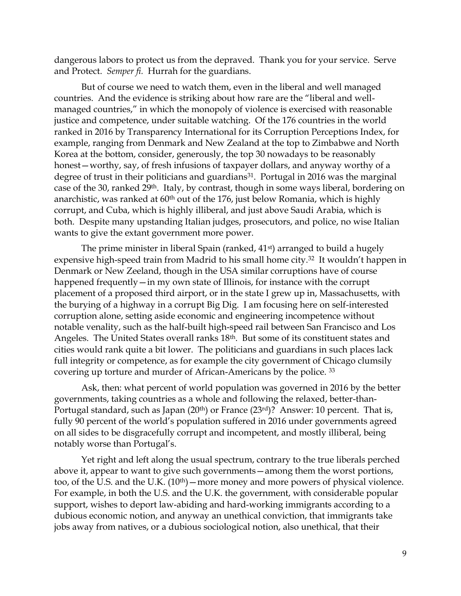dangerous labors to protect us from the depraved. Thank you for your service. Serve and Protect. *Semper fi.* Hurrah for the guardians.

But of course we need to watch them, even in the liberal and well managed countries. And the evidence is striking about how rare are the "liberal and wellmanaged countries," in which the monopoly of violence is exercised with reasonable justice and competence, under suitable watching. Of the 176 countries in the world ranked in 2016 by Transparency International for its Corruption Perceptions Index, for example, ranging from Denmark and New Zealand at the top to Zimbabwe and North Korea at the bottom, consider, generously, the top 30 nowadays to be reasonably honest—worthy, say, of fresh infusions of taxpayer dollars, and anyway worthy of a degree of trust in their politicians and guardians<sup>31</sup>. Portugal in 2016 was the marginal case of the 30, ranked 29th. Italy, by contrast, though in some ways liberal, bordering on anarchistic, was ranked at  $60<sup>th</sup>$  out of the 176, just below Romania, which is highly corrupt, and Cuba, which is highly illiberal, and just above Saudi Arabia, which is both. Despite many upstanding Italian judges, prosecutors, and police, no wise Italian wants to give the extant government more power.

The prime minister in liberal Spain (ranked, 41<sup>st</sup>) arranged to build a hugely expensive high-speed train from Madrid to his small home city.<sup>32</sup> It wouldn't happen in Denmark or New Zeeland, though in the USA similar corruptions have of course happened frequently — in my own state of Illinois, for instance with the corrupt placement of a proposed third airport, or in the state I grew up in, Massachusetts, with the burying of a highway in a corrupt Big Dig. I am focusing here on self-interested corruption alone, setting aside economic and engineering incompetence without notable venality, such as the half-built high-speed rail between San Francisco and Los Angeles. The United States overall ranks 18th. But some of its constituent states and cities would rank quite a bit lower. The politicians and guardians in such places lack full integrity or competence, as for example the city government of Chicago clumsily covering up torture and murder of African-Americans by the police. <sup>33</sup>

Ask, then: what percent of world population was governed in 2016 by the better governments, taking countries as a whole and following the relaxed, better-than-Portugal standard, such as Japan (20<sup>th</sup>) or France (23<sup>rd</sup>)? Answer: 10 percent. That is, fully 90 percent of the world's population suffered in 2016 under governments agreed on all sides to be disgracefully corrupt and incompetent, and mostly illiberal, being notably worse than Portugal's.

Yet right and left along the usual spectrum, contrary to the true liberals perched above it, appear to want to give such governments—among them the worst portions, too, of the U.S. and the U.K. (10<sup>th</sup>) — more money and more powers of physical violence. For example, in both the U.S. and the U.K. the government, with considerable popular support, wishes to deport law-abiding and hard-working immigrants according to a dubious economic notion, and anyway an unethical conviction, that immigrants take jobs away from natives, or a dubious sociological notion, also unethical, that their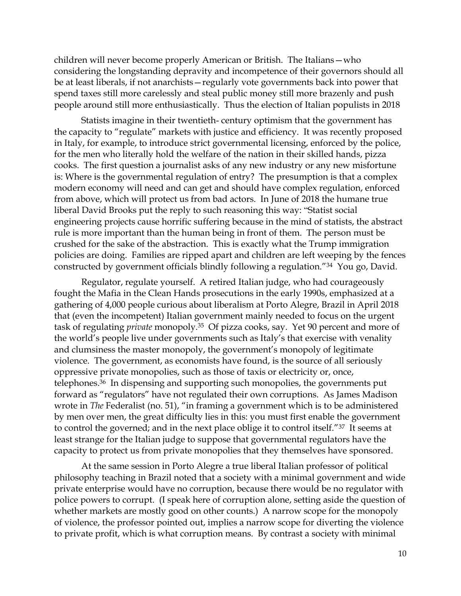children will never become properly American or British. The Italians—who considering the longstanding depravity and incompetence of their governors should all be at least liberals, if not anarchists—regularly vote governments back into power that spend taxes still more carelessly and steal public money still more brazenly and push people around still more enthusiastically. Thus the election of Italian populists in 2018

Statists imagine in their twentieth- century optimism that the government has the capacity to "regulate" markets with justice and efficiency. It was recently proposed in Italy, for example, to introduce strict governmental licensing, enforced by the police, for the men who literally hold the welfare of the nation in their skilled hands, pizza cooks. The first question a journalist asks of any new industry or any new misfortune is: Where is the governmental regulation of entry? The presumption is that a complex modern economy will need and can get and should have complex regulation, enforced from above, which will protect us from bad actors. In June of 2018 the humane true liberal David Brooks put the reply to such reasoning this way: "Statist social engineering projects cause horrific suffering because in the mind of statists, the abstract rule is more important than the human being in front of them. The person must be crushed for the sake of the abstraction. This is exactly what the Trump immigration policies are doing. Families are ripped apart and children are left weeping by the fences constructed by government officials blindly following a regulation."34 You go, David.

Regulator, regulate yourself. A retired Italian judge, who had courageously fought the Mafia in the Clean Hands prosecutions in the early 1990s, emphasized at a gathering of 4,000 people curious about liberalism at Porto Alegre, Brazil in April 2018 that (even the incompetent) Italian government mainly needed to focus on the urgent task of regulating *private* monopoly.35 Of pizza cooks, say. Yet 90 percent and more of the world's people live under governments such as Italy's that exercise with venality and clumsiness the master monopoly, the government's monopoly of legitimate violence. The government, as economists have found, is the source of all seriously oppressive private monopolies, such as those of taxis or electricity or, once, telephones.36 In dispensing and supporting such monopolies, the governments put forward as "regulators" have not regulated their own corruptions. As James Madison wrote in *The Federalist* (no. 51), "in framing a government which is to be administered by men over men, the great difficulty lies in this: you must first enable the government to control the governed; and in the next place oblige it to control itself."37 It seems at least strange for the Italian judge to suppose that governmental regulators have the capacity to protect us from private monopolies that they themselves have sponsored.

At the same session in Porto Alegre a true liberal Italian professor of political philosophy teaching in Brazil noted that a society with a minimal government and wide private enterprise would have no corruption, because there would be no regulator with police powers to corrupt. (I speak here of corruption alone, setting aside the question of whether markets are mostly good on other counts.) A narrow scope for the monopoly of violence, the professor pointed out, implies a narrow scope for diverting the violence to private profit, which is what corruption means. By contrast a society with minimal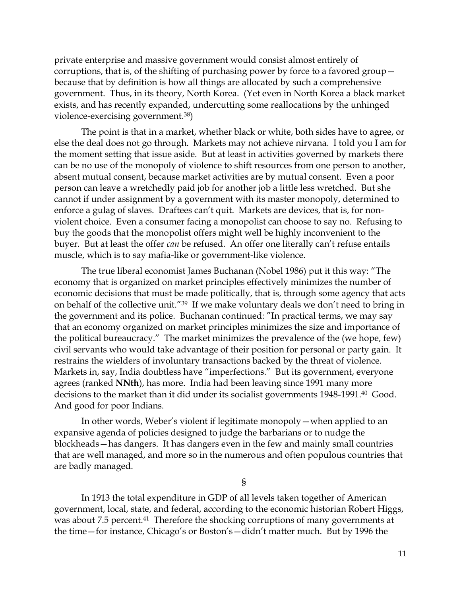private enterprise and massive government would consist almost entirely of corruptions, that is, of the shifting of purchasing power by force to a favored group because that by definition is how all things are allocated by such a comprehensive government. Thus, in its theory, North Korea. (Yet even in North Korea a black market exists, and has recently expanded, undercutting some reallocations by the unhinged violence-exercising government.38)

The point is that in a market, whether black or white, both sides have to agree, or else the deal does not go through. Markets may not achieve nirvana. I told you I am for the moment setting that issue aside. But at least in activities governed by markets there can be no use of the monopoly of violence to shift resources from one person to another, absent mutual consent, because market activities are by mutual consent. Even a poor person can leave a wretchedly paid job for another job a little less wretched. But she cannot if under assignment by a government with its master monopoly, determined to enforce a gulag of slaves. Draftees can't quit. Markets are devices, that is, for nonviolent choice. Even a consumer facing a monopolist can choose to say no. Refusing to buy the goods that the monopolist offers might well be highly inconvenient to the buyer. But at least the offer *can* be refused. An offer one literally can't refuse entails muscle, which is to say mafia-like or government-like violence.

The true liberal economist James Buchanan (Nobel 1986) put it this way: "The economy that is organized on market principles effectively minimizes the number of economic decisions that must be made politically, that is, through some agency that acts on behalf of the collective unit."<sup>39</sup> If we make voluntary deals we don't need to bring in the government and its police. Buchanan continued: "In practical terms, we may say that an economy organized on market principles minimizes the size and importance of the political bureaucracy." The market minimizes the prevalence of the (we hope, few) civil servants who would take advantage of their position for personal or party gain. It restrains the wielders of involuntary transactions backed by the threat of violence. Markets in, say, India doubtless have "imperfections." But its government, everyone agrees (ranked **NNth**), has more. India had been leaving since 1991 many more decisions to the market than it did under its socialist governments 1948-1991.40 Good. And good for poor Indians.

In other words, Weber's violent if legitimate monopoly—when applied to an expansive agenda of policies designed to judge the barbarians or to nudge the blockheads—has dangers. It has dangers even in the few and mainly small countries that are well managed, and more so in the numerous and often populous countries that are badly managed.

§

In 1913 the total expenditure in GDP of all levels taken together of American government, local, state, and federal, according to the economic historian Robert Higgs, was about 7.5 percent.<sup>41</sup> Therefore the shocking corruptions of many governments at the time—for instance, Chicago's or Boston's—didn't matter much. But by 1996 the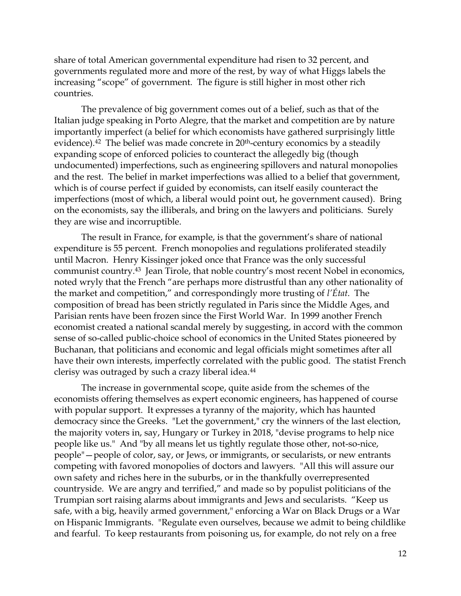share of total American governmental expenditure had risen to 32 percent, and governments regulated more and more of the rest, by way of what Higgs labels the increasing "scope" of government. The figure is still higher in most other rich countries.

The prevalence of big government comes out of a belief, such as that of the Italian judge speaking in Porto Alegre, that the market and competition are by nature importantly imperfect (a belief for which economists have gathered surprisingly little evidence).<sup>42</sup> The belief was made concrete in 20<sup>th</sup>-century economics by a steadily expanding scope of enforced policies to counteract the allegedly big (though undocumented) imperfections, such as engineering spillovers and natural monopolies and the rest. The belief in market imperfections was allied to a belief that government, which is of course perfect if guided by economists, can itself easily counteract the imperfections (most of which, a liberal would point out, he government caused). Bring on the economists, say the illiberals, and bring on the lawyers and politicians. Surely they are wise and incorruptible.

The result in France, for example, is that the government's share of national expenditure is 55 percent. French monopolies and regulations proliferated steadily until Macron. Henry Kissinger joked once that France was the only successful communist country.<sup>43</sup> Jean Tirole, that noble country's most recent Nobel in economics, noted wryly that the French "are perhaps more distrustful than any other nationality of the market and competition," and correspondingly more trusting of *l'État*. The composition of bread has been strictly regulated in Paris since the Middle Ages, and Parisian rents have been frozen since the First World War. In 1999 another French economist created a national scandal merely by suggesting, in accord with the common sense of so-called public-choice school of economics in the United States pioneered by Buchanan, that politicians and economic and legal officials might sometimes after all have their own interests, imperfectly correlated with the public good. The statist French clerisy was outraged by such a crazy liberal idea.<sup>44</sup>

The increase in governmental scope, quite aside from the schemes of the economists offering themselves as expert economic engineers, has happened of course with popular support. It expresses a tyranny of the majority, which has haunted democracy since the Greeks. "Let the government," cry the winners of the last election, the majority voters in, say, Hungary or Turkey in 2018, "devise programs to help nice people like us." And "by all means let us tightly regulate those other, not-so-nice, people"—people of color, say, or Jews, or immigrants, or secularists, or new entrants competing with favored monopolies of doctors and lawyers. "All this will assure our own safety and riches here in the suburbs, or in the thankfully overrepresented countryside. We are angry and terrified," and made so by populist politicians of the Trumpian sort raising alarms about immigrants and Jews and secularists. "Keep us safe, with a big, heavily armed government," enforcing a War on Black Drugs or a War on Hispanic Immigrants. "Regulate even ourselves, because we admit to being childlike and fearful. To keep restaurants from poisoning us, for example, do not rely on a free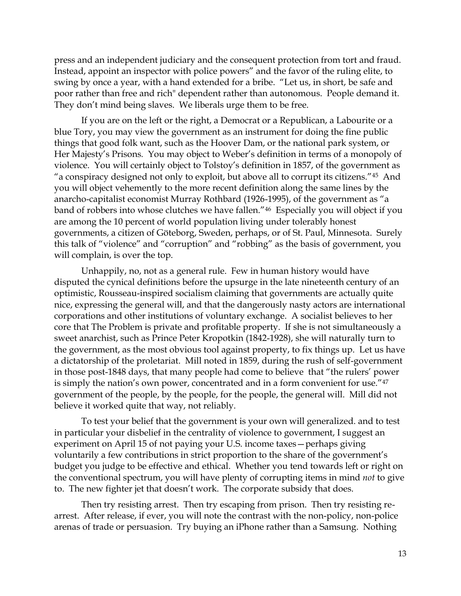press and an independent judiciary and the consequent protection from tort and fraud. Instead, appoint an inspector with police powers" and the favor of the ruling elite, to swing by once a year, with a hand extended for a bribe. "Let us, in short, be safe and poor rather than free and rich" dependent rather than autonomous. People demand it. They don't mind being slaves. We liberals urge them to be free.

If you are on the left or the right, a Democrat or a Republican, a Labourite or a blue Tory, you may view the government as an instrument for doing the fine public things that good folk want, such as the Hoover Dam, or the national park system, or Her Majesty's Prisons*.* You may object to Weber's definition in terms of a monopoly of violence. You will certainly object to Tolstoy's definition in 1857, of the government as "a conspiracy designed not only to exploit, but above all to corrupt its citizens."45 And you will object vehemently to the more recent definition along the same lines by the anarcho-capitalist economist Murray Rothbard (1926-1995), of the government as "a band of robbers into whose clutches we have fallen."46 Especially you will object if you are among the 10 percent of world population living under tolerably honest governments, a citizen of Göteborg, Sweden, perhaps, or of St. Paul, Minnesota. Surely this talk of "violence" and "corruption" and "robbing" as the basis of government, you will complain, is over the top.

Unhappily, no, not as a general rule. Few in human history would have disputed the cynical definitions before the upsurge in the late nineteenth century of an optimistic, Rousseau-inspired socialism claiming that governments are actually quite nice, expressing the general will, and that the dangerously nasty actors are international corporations and other institutions of voluntary exchange. A socialist believes to her core that The Problem is private and profitable property. If she is not simultaneously a sweet anarchist, such as Prince Peter Kropotkin (1842-1928), she will naturally turn to the government, as the most obvious tool against property, to fix things up. Let us have a dictatorship of the proletariat. Mill noted in 1859, during the rush of self-government in those post-1848 days, that many people had come to believe that "the rulers' power is simply the nation's own power, concentrated and in a form convenient for use."<sup>47</sup> government of the people, by the people, for the people, the general will. Mill did not believe it worked quite that way, not reliably.

To test your belief that the government is your own will generalized. and to test in particular your disbelief in the centrality of violence to government, I suggest an experiment on April 15 of not paying your U.S. income taxes—perhaps giving voluntarily a few contributions in strict proportion to the share of the government's budget you judge to be effective and ethical. Whether you tend towards left or right on the conventional spectrum, you will have plenty of corrupting items in mind *not* to give to. The new fighter jet that doesn't work. The corporate subsidy that does.

Then try resisting arrest. Then try escaping from prison. Then try resisting rearrest. After release, if ever, you will note the contrast with the non-policy, non-police arenas of trade or persuasion. Try buying an iPhone rather than a Samsung. Nothing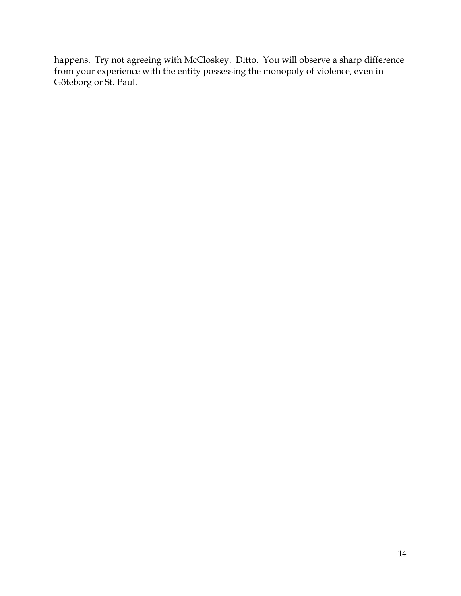happens. Try not agreeing with McCloskey. Ditto. You will observe a sharp difference from your experience with the entity possessing the monopoly of violence, even in Göteborg or St. Paul.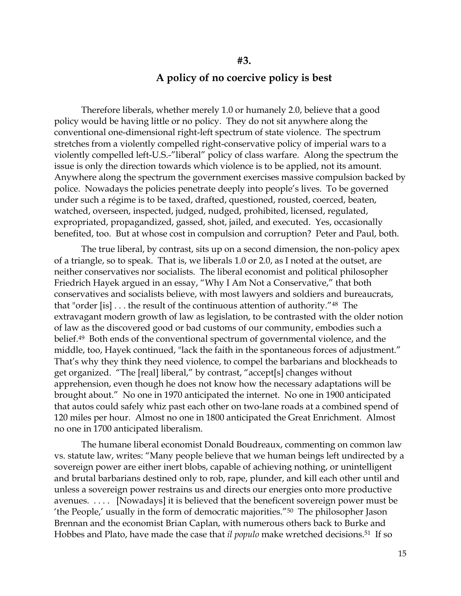## **A policy of no coercive policy is best**

**#3.**

Therefore liberals, whether merely 1.0 or humanely 2.0, believe that a good policy would be having little or no policy. They do not sit anywhere along the conventional one-dimensional right-left spectrum of state violence. The spectrum stretches from a violently compelled right-conservative policy of imperial wars to a violently compelled left-U.S.-"liberal" policy of class warfare. Along the spectrum the issue is only the direction towards which violence is to be applied, not its amount. Anywhere along the spectrum the government exercises massive compulsion backed by police. Nowadays the policies penetrate deeply into people's lives. To be governed under such a régime is to be taxed, drafted, questioned, rousted, coerced, beaten, watched, overseen, inspected, judged, nudged, prohibited, licensed, regulated, expropriated, propagandized, gassed, shot, jailed, and executed. Yes, occasionally benefited, too. But at whose cost in compulsion and corruption? Peter and Paul, both.

The true liberal, by contrast, sits up on a second dimension, the non-policy apex of a triangle, so to speak. That is, we liberals 1.0 or 2.0, as I noted at the outset, are neither conservatives nor socialists. The liberal economist and political philosopher Friedrich Hayek argued in an essay, "Why I Am Not a Conservative," that both conservatives and socialists believe, with most lawyers and soldiers and bureaucrats, that "order [is] . . . the result of the continuous attention of authority."<sup>48</sup> The extravagant modern growth of law as legislation, to be contrasted with the older notion of law as the discovered good or bad customs of our community, embodies such a belief.49 Both ends of the conventional spectrum of governmental violence, and the middle, too, Hayek continued, "lack the faith in the spontaneous forces of adjustment." That's why they think they need violence, to compel the barbarians and blockheads to get organized. "The [real] liberal," by contrast, "accept[s] changes without apprehension, even though he does not know how the necessary adaptations will be brought about." No one in 1970 anticipated the internet. No one in 1900 anticipated that autos could safely whiz past each other on two-lane roads at a combined spend of 120 miles per hour. Almost no one in 1800 anticipated the Great Enrichment. Almost no one in 1700 anticipated liberalism.

The humane liberal economist Donald Boudreaux, commenting on common law vs. statute law, writes: "Many people believe that we human beings left undirected by a sovereign power are either inert blobs, capable of achieving nothing, or unintelligent and brutal barbarians destined only to rob, rape, plunder, and kill each other until and unless a sovereign power restrains us and directs our energies onto more productive avenues. . . . . [Nowadays] it is believed that the beneficent sovereign power must be 'the People,' usually in the form of democratic majorities."50 The philosopher Jason Brennan and the economist Brian Caplan, with numerous others back to Burke and Hobbes and Plato, have made the case that *il populo* make wretched decisions.51 If so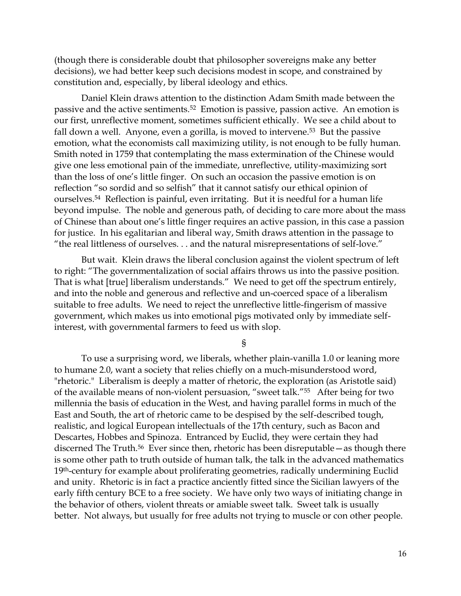(though there is considerable doubt that philosopher sovereigns make any better decisions), we had better keep such decisions modest in scope, and constrained by constitution and, especially, by liberal ideology and ethics.

Daniel Klein draws attention to the distinction Adam Smith made between the passive and the active sentiments.52 Emotion is passive, passion active. An emotion is our first, unreflective moment, sometimes sufficient ethically. We see a child about to fall down a well. Anyone, even a gorilla, is moved to intervene.<sup>53</sup> But the passive emotion, what the economists call maximizing utility, is not enough to be fully human. Smith noted in 1759 that contemplating the mass extermination of the Chinese would give one less emotional pain of the immediate, unreflective, utility-maximizing sort than the loss of one's little finger. On such an occasion the passive emotion is on reflection "so sordid and so selfish" that it cannot satisfy our ethical opinion of ourselves.54 Reflection is painful, even irritating. But it is needful for a human life beyond impulse. The noble and generous path, of deciding to care more about the mass of Chinese than about one's little finger requires an active passion, in this case a passion for justice. In his egalitarian and liberal way, Smith draws attention in the passage to "the real littleness of ourselves. . . and the natural misrepresentations of self-love."

But wait. Klein draws the liberal conclusion against the violent spectrum of left to right: "The governmentalization of social affairs throws us into the passive position. That is what [true] liberalism understands." We need to get off the spectrum entirely, and into the noble and generous and reflective and un-coerced space of a liberalism suitable to free adults. We need to reject the unreflective little-fingerism of massive government, which makes us into emotional pigs motivated only by immediate selfinterest, with governmental farmers to feed us with slop.

§

To use a surprising word, we liberals, whether plain-vanilla 1.0 or leaning more to humane 2.0, want a society that relies chiefly on a much-misunderstood word, "rhetoric." Liberalism is deeply a matter of rhetoric, the exploration (as Aristotle said) of the available means of non-violent persuasion, "sweet talk."55 After being for two millennia the basis of education in the West, and having parallel forms in much of the East and South, the art of rhetoric came to be despised by the self-described tough, realistic, and logical European intellectuals of the 17th century, such as Bacon and Descartes, Hobbes and Spinoza. Entranced by Euclid, they were certain they had discerned The Truth.<sup>56</sup> Ever since then, rhetoric has been disreputable — as though there is some other path to truth outside of human talk, the talk in the advanced mathematics 19<sup>th</sup>-century for example about proliferating geometries, radically undermining Euclid and unity. Rhetoric is in fact a practice anciently fitted since the Sicilian lawyers of the early fifth century BCE to a free society. We have only two ways of initiating change in the behavior of others, violent threats or amiable sweet talk. Sweet talk is usually better. Not always, but usually for free adults not trying to muscle or con other people.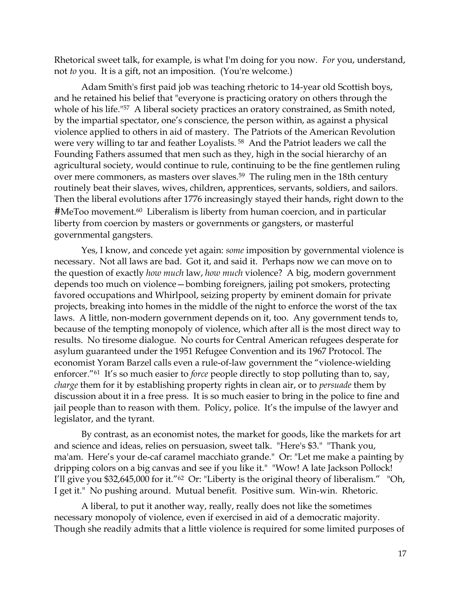Rhetorical sweet talk, for example, is what I'm doing for you now. *For* you, understand, not *to* you. It is a gift, not an imposition. (You're welcome.)

Adam Smith's first paid job was teaching rhetoric to 14-year old Scottish boys, and he retained his belief that "everyone is practicing oratory on others through the whole of his life."<sup>57</sup> A liberal society practices an oratory constrained, as Smith noted, by the impartial spectator, one's conscience, the person within, as against a physical violence applied to others in aid of mastery. The Patriots of the American Revolution were very willing to tar and feather Loyalists. <sup>58</sup> And the Patriot leaders we call the Founding Fathers assumed that men such as they, high in the social hierarchy of an agricultural society, would continue to rule, continuing to be the fine gentlemen ruling over mere commoners, as masters over slaves.59 The ruling men in the 18th century routinely beat their slaves, wives, children, apprentices, servants, soldiers, and sailors. Then the liberal evolutions after 1776 increasingly stayed their hands, right down to the #MeToo movement.<sup>60</sup> Liberalism is liberty from human coercion, and in particular liberty from coercion by masters or governments or gangsters, or masterful governmental gangsters.

Yes, I know, and concede yet again: *some* imposition by governmental violence is necessary. Not all laws are bad. Got it, and said it. Perhaps now we can move on to the question of exactly *how much* law, *how much* violence? A big, modern government depends too much on violence—bombing foreigners, jailing pot smokers, protecting favored occupations and Whirlpool, seizing property by eminent domain for private projects, breaking into homes in the middle of the night to enforce the worst of the tax laws. A little, non-modern government depends on it, too. Any government tends to, because of the tempting monopoly of violence, which after all is the most direct way to results. No tiresome dialogue. No courts for Central American refugees desperate for asylum guaranteed under the 1951 Refugee Convention and its 1967 Protocol. The economist Yoram Barzel calls even a rule-of-law government the "violence-wielding enforcer."<sup>61</sup> It's so much easier to *force* people directly to stop polluting than to, say, *charge* them for it by establishing property rights in clean air, or to *persuade* them by discussion about it in a free press. It is so much easier to bring in the police to fine and jail people than to reason with them. Policy, police. It's the impulse of the lawyer and legislator, and the tyrant.

By contrast, as an economist notes, the market for goods, like the markets for art and science and ideas, relies on persuasion, sweet talk. "Here's \$3." "Thank you, ma'am. Here's your de-caf caramel macchiato grande." Or: "Let me make a painting by dripping colors on a big canvas and see if you like it." "Wow! A late Jackson Pollock! I'll give you \$32,645,000 for it."62 Or: "Liberty is the original theory of liberalism." "Oh, I get it." No pushing around. Mutual benefit. Positive sum. Win-win. Rhetoric.

A liberal, to put it another way, really, really does not like the sometimes necessary monopoly of violence, even if exercised in aid of a democratic majority. Though she readily admits that a little violence is required for some limited purposes of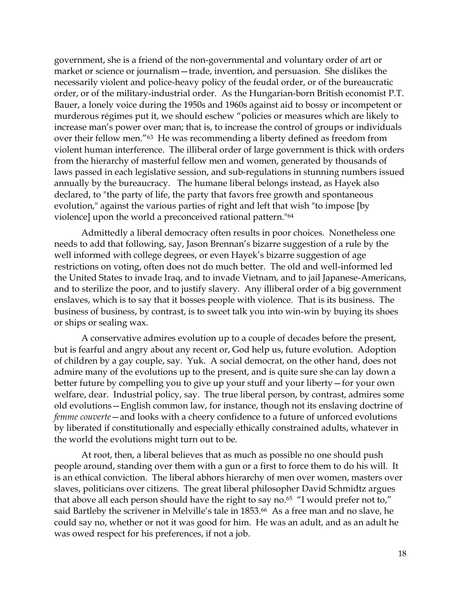government, she is a friend of the non-governmental and voluntary order of art or market or science or journalism—trade, invention, and persuasion. She dislikes the necessarily violent and police-heavy policy of the feudal order, or of the bureaucratic order, or of the military-industrial order. As the Hungarian-born British economist P.T. Bauer, a lonely voice during the 1950s and 1960s against aid to bossy or incompetent or murderous régimes put it, we should eschew "policies or measures which are likely to increase man's power over man; that is, to increase the control of groups or individuals over their fellow men."63 He was recommending a liberty defined as freedom from violent human interference. The illiberal order of large government is thick with orders from the hierarchy of masterful fellow men and women, generated by thousands of laws passed in each legislative session, and sub-regulations in stunning numbers issued annually by the bureaucracy. The humane liberal belongs instead, as Hayek also declared, to "the party of life, the party that favors free growth and spontaneous evolution," against the various parties of right and left that wish "to impose [by violence] upon the world a preconceived rational pattern."<sup>64</sup>

Admittedly a liberal democracy often results in poor choices. Nonetheless one needs to add that following, say, Jason Brennan's bizarre suggestion of a rule by the well informed with college degrees, or even Hayek's bizarre suggestion of age restrictions on voting, often does not do much better. The old and well-informed led the United States to invade Iraq, and to invade Vietnam, and to jail Japanese-Americans, and to sterilize the poor, and to justify slavery. Any illiberal order of a big government enslaves, which is to say that it bosses people with violence. That is its business. The business of business, by contrast, is to sweet talk you into win-win by buying its shoes or ships or sealing wax.

A conservative admires evolution up to a couple of decades before the present, but is fearful and angry about any recent or, God help us, future evolution. Adoption of children by a gay couple, say. Yuk. A social democrat, on the other hand, does not admire many of the evolutions up to the present, and is quite sure she can lay down a better future by compelling you to give up your stuff and your liberty—for your own welfare, dear. Industrial policy, say. The true liberal person, by contrast, admires some old evolutions—English common law, for instance, though not its enslaving doctrine of *femme couverte*—and looks with a cheery confidence to a future of unforced evolutions by liberated if constitutionally and especially ethically constrained adults, whatever in the world the evolutions might turn out to be.

At root, then, a liberal believes that as much as possible no one should push people around, standing over them with a gun or a first to force them to do his will. It is an ethical conviction. The liberal abhors hierarchy of men over women, masters over slaves, politicians over citizens. The great liberal philosopher David Schmidtz argues that above all each person should have the right to say no.<sup>65</sup> "I would prefer not to," said Bartleby the scrivener in Melville's tale in 1853.<sup>66</sup> As a free man and no slave, he could say no, whether or not it was good for him. He was an adult, and as an adult he was owed respect for his preferences, if not a job.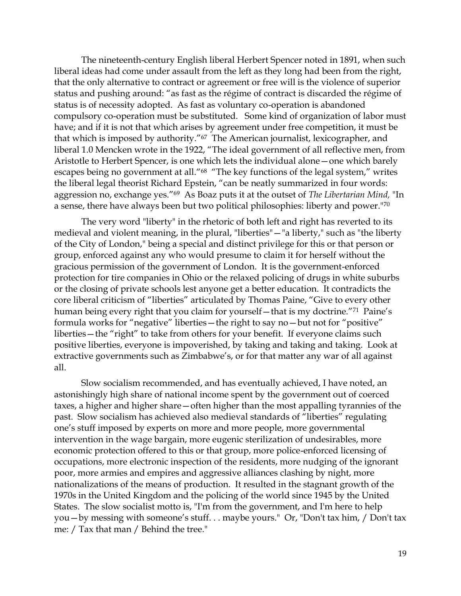The nineteenth-century English liberal Herbert Spencer noted in 1891, when such liberal ideas had come under assault from the left as they long had been from the right, that the only alternative to contract or agreement or free will is the violence of superior status and pushing around: "as fast as the régime of contract is discarded the régime of status is of necessity adopted. As fast as voluntary co-operation is abandoned compulsory co-operation must be substituted. Some kind of organization of labor must have; and if it is not that which arises by agreement under free competition, it must be that which is imposed by authority."67 The American journalist, lexicographer, and liberal 1.0 Mencken wrote in the 1922, "The ideal government of all reflective men, from Aristotle to Herbert Spencer, is one which lets the individual alone—one which barely escapes being no government at all."<sup>68</sup> "The key functions of the legal system," writes the liberal legal theorist Richard Epstein, "can be neatly summarized in four words: aggression no, exchange yes."<sup>69</sup> As Boaz puts it at the outset of *The Libertarian Mind,* "In a sense, there have always been but two political philosophies: liberty and power."<sup>70</sup>

The very word "liberty" in the rhetoric of both left and right has reverted to its medieval and violent meaning, in the plural, "liberties"—"a liberty," such as "the liberty of the City of London," being a special and distinct privilege for this or that person or group, enforced against any who would presume to claim it for herself without the gracious permission of the government of London. It is the government-enforced protection for tire companies in Ohio or the relaxed policing of drugs in white suburbs or the closing of private schools lest anyone get a better education. It contradicts the core liberal criticism of "liberties" articulated by Thomas Paine, "Give to every other human being every right that you claim for yourself—that is my doctrine."<sup>71</sup> Paine's formula works for "negative" liberties—the right to say no—but not for "positive" liberties—the "right" to take from others for your benefit. If everyone claims such positive liberties, everyone is impoverished, by taking and taking and taking. Look at extractive governments such as Zimbabwe's, or for that matter any war of all against all.

Slow socialism recommended, and has eventually achieved, I have noted, an astonishingly high share of national income spent by the government out of coerced taxes, a higher and higher share—often higher than the most appalling tyrannies of the past. Slow socialism has achieved also medieval standards of "liberties" regulating one's stuff imposed by experts on more and more people, more governmental intervention in the wage bargain, more eugenic sterilization of undesirables, more economic protection offered to this or that group, more police-enforced licensing of occupations, more electronic inspection of the residents, more nudging of the ignorant poor, more armies and empires and aggressive alliances clashing by night, more nationalizations of the means of production. It resulted in the stagnant growth of the 1970s in the United Kingdom and the policing of the world since 1945 by the United States. The slow socialist motto is, "I'm from the government, and I'm here to help you—by messing with someone's stuff. . . maybe yours." Or, "Don't tax him, / Don't tax me: / Tax that man / Behind the tree."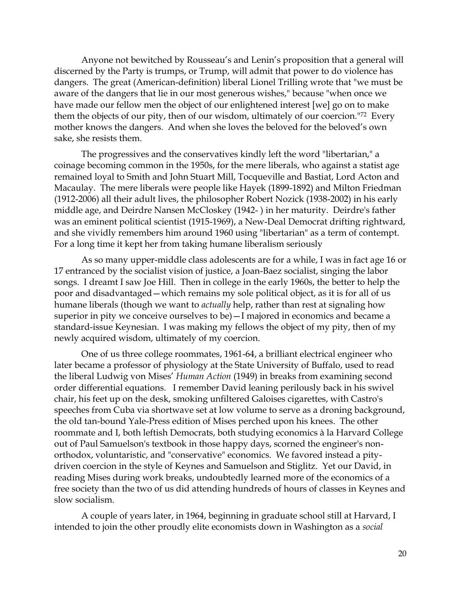Anyone not bewitched by Rousseau's and Lenin's proposition that a general will discerned by the Party is trumps, or Trump, will admit that power to do violence has dangers. The great (American-definition) liberal Lionel Trilling wrote that "we must be aware of the dangers that lie in our most generous wishes," because "when once we have made our fellow men the object of our enlightened interest [we] go on to make them the objects of our pity, then of our wisdom, ultimately of our coercion."72 Every mother knows the dangers. And when she loves the beloved for the beloved's own sake, she resists them.

The progressives and the conservatives kindly left the word "libertarian," a coinage becoming common in the 1950s, for the mere liberals, who against a statist age remained loyal to Smith and John Stuart Mill, Tocqueville and Bastiat, Lord Acton and Macaulay. The mere liberals were people like Hayek (1899-1892) and Milton Friedman (1912-2006) all their adult lives, the philosopher Robert Nozick (1938-2002) in his early middle age, and Deirdre Nansen McCloskey (1942- ) in her maturity. Deirdre's father was an eminent political scientist (1915-1969), a New-Deal Democrat drifting rightward, and she vividly remembers him around 1960 using "libertarian" as a term of contempt. For a long time it kept her from taking humane liberalism seriously

As so many upper-middle class adolescents are for a while, I was in fact age 16 or 17 entranced by the socialist vision of justice, a Joan-Baez socialist, singing the labor songs. I dreamt I saw Joe Hill. Then in college in the early 1960s, the better to help the poor and disadvantaged—which remains my sole political object, as it is for all of us humane liberals (though we want to *actually* help, rather than rest at signaling how superior in pity we conceive ourselves to be)—I majored in economics and became a standard-issue Keynesian. I was making my fellows the object of my pity, then of my newly acquired wisdom, ultimately of my coercion.

One of us three college roommates, 1961-64, a brilliant electrical engineer who later became a professor of physiology at the State University of Buffalo, used to read the liberal Ludwig von Mises' *Human Action* (1949) in breaks from examining second order differential equations. I remember David leaning perilously back in his swivel chair, his feet up on the desk, smoking unfiltered Galoises cigarettes, with Castro's speeches from Cuba via shortwave set at low volume to serve as a droning background, the old tan-bound Yale-Press edition of Mises perched upon his knees. The other roommate and I, both leftish Democrats, both studying economics à la Harvard College out of Paul Samuelson's textbook in those happy days, scorned the engineer's nonorthodox, voluntaristic, and "conservative" economics. We favored instead a pitydriven coercion in the style of Keynes and Samuelson and Stiglitz. Yet our David, in reading Mises during work breaks, undoubtedly learned more of the economics of a free society than the two of us did attending hundreds of hours of classes in Keynes and slow socialism.

A couple of years later, in 1964, beginning in graduate school still at Harvard, I intended to join the other proudly elite economists down in Washington as a *social*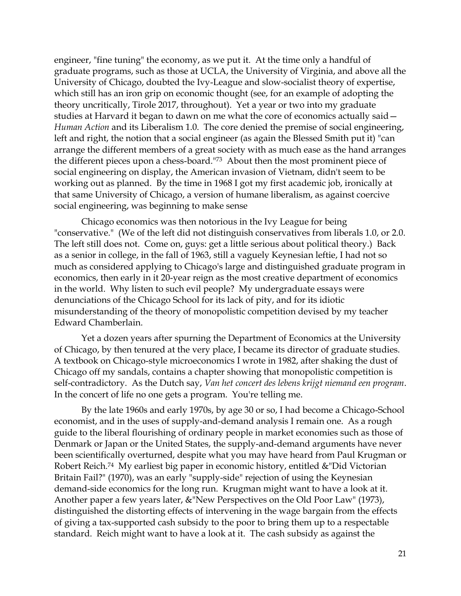engineer, "fine tuning" the economy, as we put it. At the time only a handful of graduate programs, such as those at UCLA, the University of Virginia, and above all the University of Chicago, doubted the Ivy-League and slow-socialist theory of expertise, which still has an iron grip on economic thought (see, for an example of adopting the theory uncritically, Tirole 2017, throughout). Yet a year or two into my graduate studies at Harvard it began to dawn on me what the core of economics actually said— *Human Action* and its Liberalism 1.0. The core denied the premise of social engineering, left and right, the notion that a social engineer (as again the Blessed Smith put it) "can arrange the different members of a great society with as much ease as the hand arranges the different pieces upon a chess-board."73 About then the most prominent piece of social engineering on display, the American invasion of Vietnam, didn't seem to be working out as planned. By the time in 1968 I got my first academic job, ironically at that same University of Chicago, a version of humane liberalism, as against coercive social engineering, was beginning to make sense

Chicago economics was then notorious in the Ivy League for being "conservative." (We of the left did not distinguish conservatives from liberals 1.0, or 2.0. The left still does not. Come on, guys: get a little serious about political theory.) Back as a senior in college, in the fall of 1963, still a vaguely Keynesian leftie, I had not so much as considered applying to Chicago's large and distinguished graduate program in economics, then early in it 20-year reign as the most creative department of economics in the world. Why listen to such evil people? My undergraduate essays were denunciations of the Chicago School for its lack of pity, and for its idiotic misunderstanding of the theory of monopolistic competition devised by my teacher Edward Chamberlain.

Yet a dozen years after spurning the Department of Economics at the University of Chicago, by then tenured at the very place, I became its director of graduate studies. A textbook on Chicago-style microeconomics I wrote in 1982, after shaking the dust of Chicago off my sandals, contains a chapter showing that monopolistic competition is self-contradictory. As the Dutch say, *Van het concert des lebens krijgt niemand een program*. In the concert of life no one gets a program. You're telling me.

By the late 1960s and early 1970s, by age 30 or so, I had become a Chicago-School economist, and in the uses of supply-and-demand analysis I remain one. As a rough guide to the liberal flourishing of ordinary people in market economies such as those of Denmark or Japan or the United States, the supply-and-demand arguments have never been scientifically overturned, despite what you may have heard from Paul Krugman or Robert Reich.74 My earliest big paper in economic history, entitled &"Did Victorian Britain Fail?" (1970), was an early "supply-side" rejection of using the Keynesian demand-side economics for the long run. Krugman might want to have a look at it. Another paper a few years later, &"New Perspectives on the Old Poor Law" (1973), distinguished the distorting effects of intervening in the wage bargain from the effects of giving a tax-supported cash subsidy to the poor to bring them up to a respectable standard. Reich might want to have a look at it. The cash subsidy as against the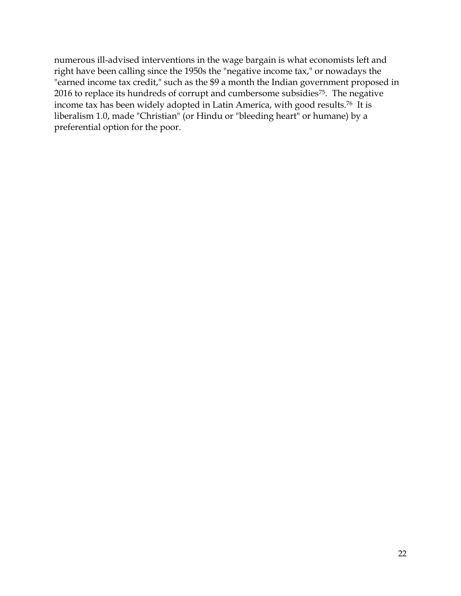numerous ill-advised interventions in the wage bargain is what economists left and right have been calling since the 1950s the "negative income tax," or nowadays the "earned income tax credit," such as the \$9 a month the Indian government proposed in 2016 to replace its hundreds of corrupt and cumbersome subsidies<sup>75</sup>. The negative income tax has been widely adopted in Latin America, with good results.76 It is liberalism 1.0, made "Christian" (or Hindu or "bleeding heart" or humane) by a preferential option for the poor.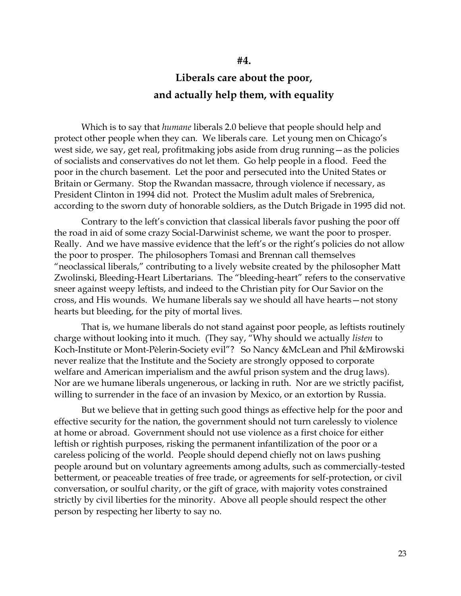# **Liberals care about the poor, and actually help them, with equality**

Which is to say that *humane* liberals 2.0 believe that people should help and protect other people when they can. We liberals care. Let young men on Chicago's west side, we say, get real, profitmaking jobs aside from drug running—as the policies of socialists and conservatives do not let them. Go help people in a flood. Feed the poor in the church basement. Let the poor and persecuted into the United States or Britain or Germany. Stop the Rwandan massacre, through violence if necessary, as President Clinton in 1994 did not. Protect the Muslim adult males of Srebrenica, according to the sworn duty of honorable soldiers, as the Dutch Brigade in 1995 did not.

Contrary to the left's conviction that classical liberals favor pushing the poor off the road in aid of some crazy Social-Darwinist scheme, we want the poor to prosper. Really. And we have massive evidence that the left's or the right's policies do not allow the poor to prosper. The philosophers Tomasi and Brennan call themselves "neoclassical liberals," contributing to a lively website created by the philosopher Matt Zwolinski, Bleeding-Heart Libertarians. The "bleeding-heart" refers to the conservative sneer against weepy leftists, and indeed to the Christian pity for Our Savior on the cross, and His wounds. We humane liberals say we should all have hearts—not stony hearts but bleeding, for the pity of mortal lives.

That is, we humane liberals do not stand against poor people, as leftists routinely charge without looking into it much. (They say, "Why should we actually *listen* to Koch-Institute or Mont-Pèlerin-Society evil"? So Nancy &McLean and Phil &Mirowski never realize that the Institute and the Society are strongly opposed to corporate welfare and American imperialism and the awful prison system and the drug laws). Nor are we humane liberals ungenerous, or lacking in ruth. Nor are we strictly pacifist, willing to surrender in the face of an invasion by Mexico, or an extortion by Russia.

But we believe that in getting such good things as effective help for the poor and effective security for the nation, the government should not turn carelessly to violence at home or abroad. Government should not use violence as a first choice for either leftish or rightish purposes, risking the permanent infantilization of the poor or a careless policing of the world. People should depend chiefly not on laws pushing people around but on voluntary agreements among adults, such as commercially-tested betterment, or peaceable treaties of free trade, or agreements for self-protection, or civil conversation, or soulful charity, or the gift of grace, with majority votes constrained strictly by civil liberties for the minority. Above all people should respect the other person by respecting her liberty to say no.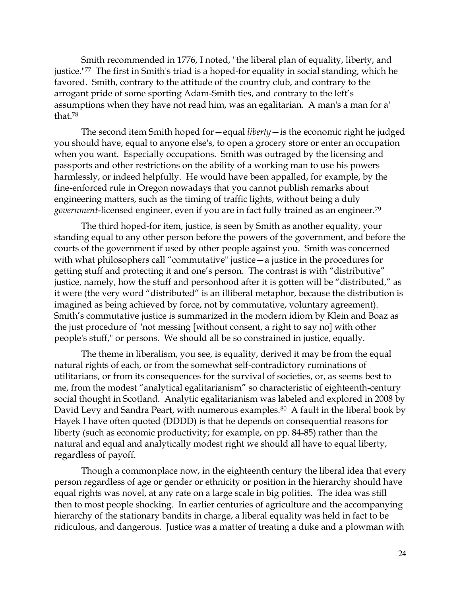Smith recommended in 1776, I noted, "the liberal plan of equality, liberty, and justice."<sup>77</sup> The first in Smith's triad is a hoped-for equality in social standing, which he favored. Smith, contrary to the attitude of the country club, and contrary to the arrogant pride of some sporting Adam-Smith ties, and contrary to the left's assumptions when they have not read him, was an egalitarian. A man's a man for a' that.<sup>78</sup>

The second item Smith hoped for—equal *liberty*—is the economic right he judged you should have, equal to anyone else's, to open a grocery store or enter an occupation when you want. Especially occupations. Smith was outraged by the licensing and passports and other restrictions on the ability of a working man to use his powers harmlessly, or indeed helpfully. He would have been appalled, for example, by the fine-enforced rule in Oregon nowadays that you cannot publish remarks about engineering matters, such as the timing of traffic lights, without being a duly *government*-licensed engineer, even if you are in fact fully trained as an engineer.<sup>79</sup>

The third hoped-for item, justice, is seen by Smith as another equality, your standing equal to any other person before the powers of the government, and before the courts of the government if used by other people against you. Smith was concerned with what philosophers call "commutative" justice—a justice in the procedures for getting stuff and protecting it and one's person. The contrast is with "distributive" justice, namely, how the stuff and personhood after it is gotten will be "distributed," as it were (the very word "distributed" is an illiberal metaphor, because the distribution is imagined as being achieved by force, not by commutative, voluntary agreement). Smith's commutative justice is summarized in the modern idiom by Klein and Boaz as the just procedure of "not messing [without consent, a right to say no] with other people's stuff," or persons. We should all be so constrained in justice, equally.

The theme in liberalism, you see, is equality, derived it may be from the equal natural rights of each, or from the somewhat self-contradictory ruminations of utilitarians, or from its consequences for the survival of societies, or, as seems best to me, from the modest "analytical egalitarianism" so characteristic of eighteenth-century social thought in Scotland. Analytic egalitarianism was labeled and explored in 2008 by David Levy and Sandra Peart, with numerous examples.<sup>80</sup> A fault in the liberal book by Hayek I have often quoted (DDDD) is that he depends on consequential reasons for liberty (such as economic productivity; for example, on pp. 84-85) rather than the natural and equal and analytically modest right we should all have to equal liberty, regardless of payoff.

Though a commonplace now, in the eighteenth century the liberal idea that every person regardless of age or gender or ethnicity or position in the hierarchy should have equal rights was novel, at any rate on a large scale in big polities. The idea was still then to most people shocking. In earlier centuries of agriculture and the accompanying hierarchy of the stationary bandits in charge, a liberal equality was held in fact to be ridiculous, and dangerous. Justice was a matter of treating a duke and a plowman with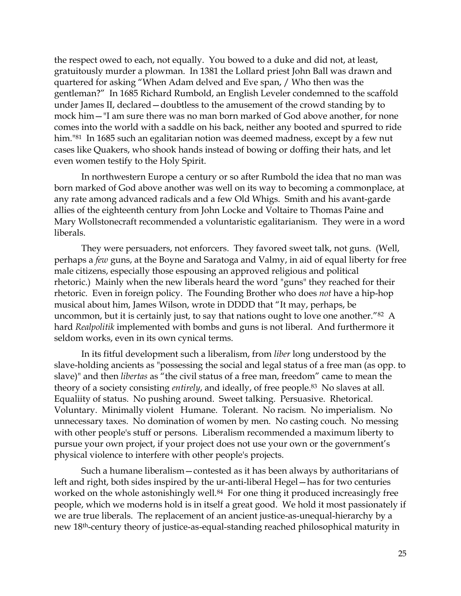the respect owed to each, not equally. You bowed to a duke and did not, at least, gratuitously murder a plowman. In 1381 the Lollard priest John Ball was drawn and quartered for asking "When Adam delved and Eve span, / Who then was the gentleman?" In 1685 Richard Rumbold, an English Leveler condemned to the scaffold under James II, declared—doubtless to the amusement of the crowd standing by to mock him—"I am sure there was no man born marked of God above another, for none comes into the world with a saddle on his back, neither any booted and spurred to ride him.<sup>"81</sup> In 1685 such an egalitarian notion was deemed madness, except by a few nut cases like Quakers, who shook hands instead of bowing or doffing their hats, and let even women testify to the Holy Spirit.

In northwestern Europe a century or so after Rumbold the idea that no man was born marked of God above another was well on its way to becoming a commonplace, at any rate among advanced radicals and a few Old Whigs. Smith and his avant-garde allies of the eighteenth century from John Locke and Voltaire to Thomas Paine and Mary Wollstonecraft recommended a voluntaristic egalitarianism. They were in a word liberals.

They were persuaders, not enforcers. They favored sweet talk, not guns. (Well, perhaps a *few* guns, at the Boyne and Saratoga and Valmy, in aid of equal liberty for free male citizens, especially those espousing an approved religious and political rhetoric.) Mainly when the new liberals heard the word "guns" they reached for their rhetoric. Even in foreign policy. The Founding Brother who does *not* have a hip-hop musical about him, James Wilson, wrote in DDDD that "It may, perhaps, be uncommon, but it is certainly just, to say that nations ought to love one another."82 A hard *Realpolitik* implemented with bombs and guns is not liberal. And furthermore it seldom works, even in its own cynical terms.

In its fitful development such a liberalism, from *liber* long understood by the slave-holding ancients as "possessing the social and legal status of a free man (as opp. to slave)" and then *libertas* as "the civil status of a free man, freedom" came to mean the theory of a society consisting *entirely*, and ideally, of free people.83 No slaves at all. Equaliity of status. No pushing around. Sweet talking. Persuasive. Rhetorical. Voluntary. Minimally violent Humane. Tolerant. No racism. No imperialism. No unnecessary taxes. No domination of women by men. No casting couch. No messing with other people's stuff or persons. Liberalism recommended a maximum liberty to pursue your own project, if your project does not use your own or the government's physical violence to interfere with other people's projects.

Such a humane liberalism—contested as it has been always by authoritarians of left and right, both sides inspired by the ur-anti-liberal Hegel—has for two centuries worked on the whole astonishingly well.<sup>84</sup> For one thing it produced increasingly free people, which we moderns hold is in itself a great good. We hold it most passionately if we are true liberals. The replacement of an ancient justice-as-unequal-hierarchy by a new 18th-century theory of justice-as-equal-standing reached philosophical maturity in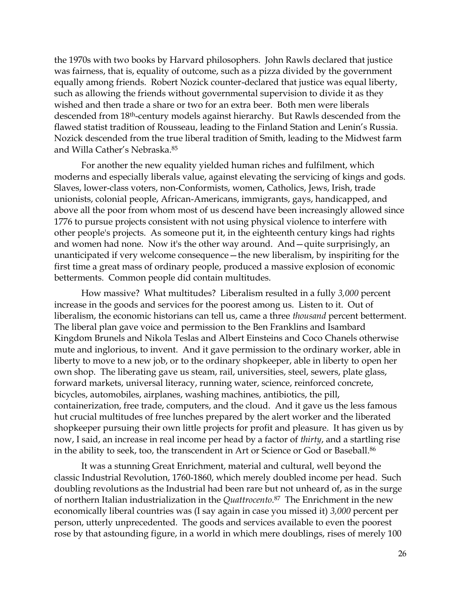the 1970s with two books by Harvard philosophers. John Rawls declared that justice was fairness, that is, equality of outcome, such as a pizza divided by the government equally among friends. Robert Nozick counter-declared that justice was equal liberty, such as allowing the friends without governmental supervision to divide it as they wished and then trade a share or two for an extra beer. Both men were liberals descended from 18th-century models against hierarchy. But Rawls descended from the flawed statist tradition of Rousseau, leading to the Finland Station and Lenin's Russia. Nozick descended from the true liberal tradition of Smith, leading to the Midwest farm and Willa Cather's Nebraska.<sup>85</sup>

For another the new equality yielded human riches and fulfilment, which moderns and especially liberals value, against elevating the servicing of kings and gods. Slaves, lower-class voters, non-Conformists, women, Catholics, Jews, Irish, trade unionists, colonial people, African-Americans, immigrants, gays, handicapped, and above all the poor from whom most of us descend have been increasingly allowed since 1776 to pursue projects consistent with not using physical violence to interfere with other people's projects. As someone put it, in the eighteenth century kings had rights and women had none. Now it's the other way around. And—quite surprisingly, an unanticipated if very welcome consequence—the new liberalism, by inspiriting for the first time a great mass of ordinary people, produced a massive explosion of economic betterments. Common people did contain multitudes.

How massive? What multitudes? Liberalism resulted in a fully *3,000* percent increase in the goods and services for the poorest among us. Listen to it. Out of liberalism, the economic historians can tell us, came a three *thousand* percent betterment. The liberal plan gave voice and permission to the Ben Franklins and Isambard Kingdom Brunels and Nikola Teslas and Albert Einsteins and Coco Chanels otherwise mute and inglorious, to invent. And it gave permission to the ordinary worker, able in liberty to move to a new job, or to the ordinary shopkeeper, able in liberty to open her own shop. The liberating gave us steam, rail, universities, steel, sewers, plate glass, forward markets, universal literacy, running water, science, reinforced concrete, bicycles, automobiles, airplanes, washing machines, antibiotics, the pill, containerization, free trade, computers, and the cloud. And it gave us the less famous hut crucial multitudes of free lunches prepared by the alert worker and the liberated shopkeeper pursuing their own little projects for profit and pleasure. It has given us by now, I said, an increase in real income per head by a factor of *thirty*, and a startling rise in the ability to seek, too, the transcendent in Art or Science or God or Baseball. 86

It was a stunning Great Enrichment, material and cultural, well beyond the classic Industrial Revolution, 1760-1860, which merely doubled income per head. Such doubling revolutions as the Industrial had been rare but not unheard of, as in the surge of northern Italian industrialization in the *Quattrocento*. <sup>87</sup> The Enrichment in the new economically liberal countries was (I say again in case you missed it) *3,000* percent per person, utterly unprecedented. The goods and services available to even the poorest rose by that astounding figure, in a world in which mere doublings, rises of merely 100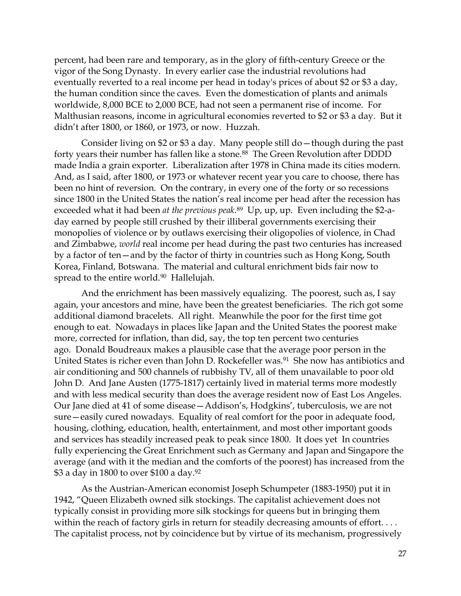percent, had been rare and temporary, as in the glory of fifth-century Greece or the vigor of the Song Dynasty. In every earlier case the industrial revolutions had eventually reverted to a real income per head in today's prices of about \$2 or \$3 a day, the human condition since the caves. Even the domestication of plants and animals worldwide, 8,000 BCE to 2,000 BCE, had not seen a permanent rise of income. For Malthusian reasons, income in agricultural economies reverted to \$2 or \$3 a day. But it didn't after 1800, or 1860, or 1973, or now. Huzzah.

Consider living on \$2 or \$3 a day. Many people still do—though during the past forty years their number has fallen like a stone.<sup>88</sup> The Green Revolution after DDDD made India a grain exporter. Liberalization after 1978 in China made its cities modern. And, as I said, after 1800, or 1973 or whatever recent year you care to choose, there has been no hint of reversion. On the contrary, in every one of the forty or so recessions since 1800 in the United States the nation's real income per head after the recession has exceeded what it had been *at the previous peak*. <sup>89</sup> Up, up, up. Even including the \$2-aday earned by people still crushed by their illiberal governments exercising their monopolies of violence or by outlaws exercising their oligopolies of violence, in Chad and Zimbabwe, *world* real income per head during the past two centuries has increased by a factor of ten—and by the factor of thirty in countries such as Hong Kong, South Korea, Finland, Botswana. The material and cultural enrichment bids fair now to spread to the entire world.<sup>90</sup> Hallelujah.

And the enrichment has been massively equalizing. The poorest, such as, I say again, your ancestors and mine, have been the greatest beneficiaries. The rich got some additional diamond bracelets. All right. Meanwhile the poor for the first time got enough to eat. Nowadays in places like Japan and the United States the poorest make more, corrected for inflation, than did, say, the top ten percent two centuries ago. Donald Boudreaux makes a plausible case that the average poor person in the United States is richer even than John D. Rockefeller was.<sup>91</sup> She now has antibiotics and air conditioning and 500 channels of rubbishy TV, all of them unavailable to poor old John D. And Jane Austen (1775-1817) certainly lived in material terms more modestly and with less medical security than does the average resident now of East Los Angeles. Our Jane died at 41 of some disease—Addison's, Hodgkins', tuberculosis, we are not sure—easily cured nowadays. Equality of real comfort for the poor in adequate food, housing, clothing, education, health, entertainment, and most other important goods and services has steadily increased peak to peak since 1800. It does yet In countries fully experiencing the Great Enrichment such as Germany and Japan and Singapore the average (and with it the median and the comforts of the poorest) has increased from the \$3 a day in 1800 to over \$100 a day.<sup>92</sup>

As the Austrian-American economist Joseph Schumpeter (1883-1950) put it in 1942, "Queen Elizabeth owned silk stockings. The capitalist achievement does not typically consist in providing more silk stockings for queens but in bringing them within the reach of factory girls in return for steadily decreasing amounts of effort.... The capitalist process, not by coincidence but by virtue of its mechanism, progressively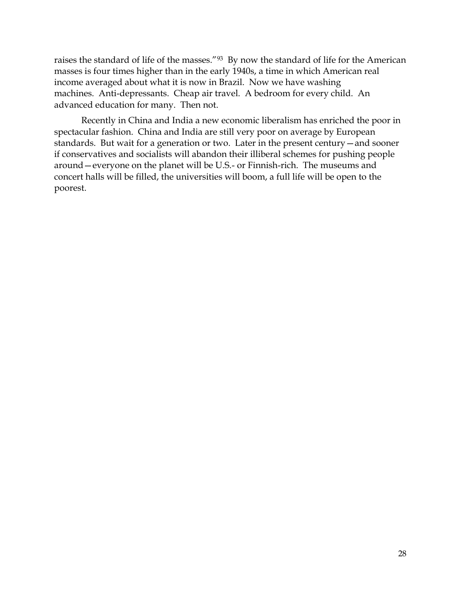raises the standard of life of the masses."<sup>93</sup> By now the standard of life for the American masses is four times higher than in the early 1940s, a time in which American real income averaged about what it is now in Brazil. Now we have washing machines. Anti-depressants. Cheap air travel. A bedroom for every child. An advanced education for many. Then not.

Recently in China and India a new economic liberalism has enriched the poor in spectacular fashion. China and India are still very poor on average by European standards. But wait for a generation or two. Later in the present century—and sooner if conservatives and socialists will abandon their illiberal schemes for pushing people around—everyone on the planet will be U.S.- or Finnish-rich. The museums and concert halls will be filled, the universities will boom, a full life will be open to the poorest.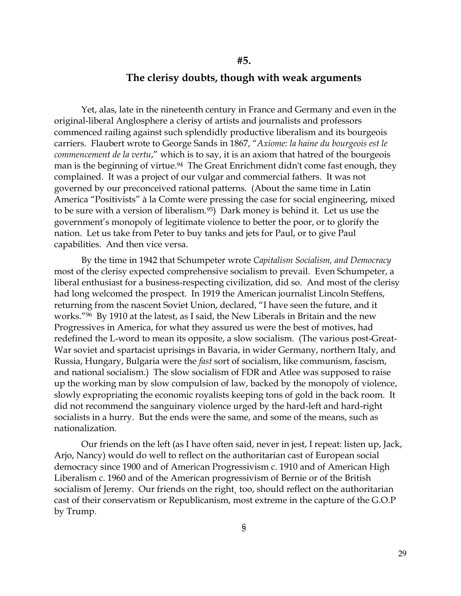### **The clerisy doubts, though with weak arguments**

**#5.** 

Yet, alas, late in the nineteenth century in France and Germany and even in the original-liberal Anglosphere a clerisy of artists and journalists and professors commenced railing against such splendidly productive liberalism and its bourgeois carriers. Flaubert wrote to George Sands in 1867, "*Axiome: la haine du bourgeois est le commencement de la vertu*," which is to say, it is an axiom that hatred of the bourgeois man is the beginning of virtue.<sup>94</sup> The Great Enrichment didn't come fast enough, they complained. It was a project of our vulgar and commercial fathers. It was not governed by our preconceived rational patterns. (About the same time in Latin America "Positivists" à la Comte were pressing the case for social engineering, mixed to be sure with a version of liberalism.95) Dark money is behind it. Let us use the government's monopoly of legitimate violence to better the poor, or to glorify the nation. Let us take from Peter to buy tanks and jets for Paul, or to give Paul capabilities. And then vice versa.

By the time in 1942 that Schumpeter wrote *Capitalism Socialism, and Democracy*  most of the clerisy expected comprehensive socialism to prevail. Even Schumpeter, a liberal enthusiast for a business-respecting civilization, did so. And most of the clerisy had long welcomed the prospect. In 1919 the American journalist Lincoln Steffens, returning from the nascent Soviet Union, declared, "I have seen the future, and it works."96 By 1910 at the latest, as I said, the New Liberals in Britain and the new Progressives in America, for what they assured us were the best of motives, had redefined the L-word to mean its opposite, a slow socialism. (The various post-Great-War soviet and spartacist uprisings in Bavaria, in wider Germany, northern Italy, and Russia, Hungary, Bulgaria were the *fast* sort of socialism, like communism, fascism, and national socialism.) The slow socialism of FDR and Atlee was supposed to raise up the working man by slow compulsion of law, backed by the monopoly of violence, slowly expropriating the economic royalists keeping tons of gold in the back room. It did not recommend the sanguinary violence urged by the hard-left and hard-right socialists in a hurry. But the ends were the same, and some of the means, such as nationalization.

Our friends on the left (as I have often said, never in jest, I repeat: listen up, Jack, Arjo, Nancy) would do well to reflect on the authoritarian cast of European social democracy since 1900 and of American Progressivism c. 1910 and of American High Liberalism c. 1960 and of the American progressivism of Bernie or of the British socialism of Jeremy. Our friends on the right*¸* too, should reflect on the authoritarian cast of their conservatism or Republicanism, most extreme in the capture of the G.O.P by Trump.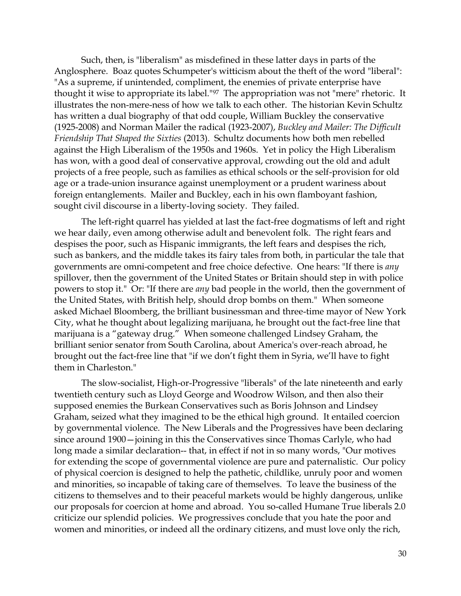Such, then, is "liberalism" as misdefined in these latter days in parts of the Anglosphere. Boaz quotes Schumpeter's witticism about the theft of the word "liberal": "As a supreme, if unintended, compliment, the enemies of private enterprise have thought it wise to appropriate its label."97 The appropriation was not "mere" rhetoric. It illustrates the non-mere-ness of how we talk to each other. The historian Kevin Schultz has written a dual biography of that odd couple, William Buckley the conservative (1925-2008) and Norman Mailer the radical (1923-2007), *Buckley and Mailer: The Difficult Friendship That Shaped the Sixties* (2013). Schultz documents how both men rebelled against the High Liberalism of the 1950s and 1960s. Yet in policy the High Liberalism has won, with a good deal of conservative approval, crowding out the old and adult projects of a free people, such as families as ethical schools or the self-provision for old age or a trade-union insurance against unemployment or a prudent wariness about foreign entanglements. Mailer and Buckley, each in his own flamboyant fashion, sought civil discourse in a liberty-loving society. They failed.

The left-right quarrel has yielded at last the fact-free dogmatisms of left and right we hear daily, even among otherwise adult and benevolent folk. The right fears and despises the poor, such as Hispanic immigrants, the left fears and despises the rich, such as bankers, and the middle takes its fairy tales from both, in particular the tale that governments are omni-competent and free choice defective. One hears: "If there is *any* spillover, then the government of the United States or Britain should step in with police powers to stop it." Or: "If there are *any* bad people in the world, then the government of the United States, with British help, should drop bombs on them." When someone asked Michael Bloomberg, the brilliant businessman and three-time mayor of New York City, what he thought about legalizing marijuana, he brought out the fact-free line that marijuana is a "gateway drug." When someone challenged Lindsey Graham, the brilliant senior senator from South Carolina, about America's over-reach abroad, he brought out the fact-free line that "if we don't fight them in Syria, we'll have to fight them in Charleston."

The slow-socialist, High-or-Progressive "liberals" of the late nineteenth and early twentieth century such as Lloyd George and Woodrow Wilson, and then also their supposed enemies the Burkean Conservatives such as Boris Johnson and Lindsey Graham, seized what they imagined to be the ethical high ground. It entailed coercion by governmental violence. The New Liberals and the Progressives have been declaring since around 1900—joining in this the Conservatives since Thomas Carlyle, who had long made a similar declaration-- that, in effect if not in so many words, "Our motives for extending the scope of governmental violence are pure and paternalistic. Our policy of physical coercion is designed to help the pathetic, childlike, unruly poor and women and minorities, so incapable of taking care of themselves. To leave the business of the citizens to themselves and to their peaceful markets would be highly dangerous, unlike our proposals for coercion at home and abroad. You so-called Humane True liberals 2.0 criticize our splendid policies. We progressives conclude that you hate the poor and women and minorities, or indeed all the ordinary citizens, and must love only the rich,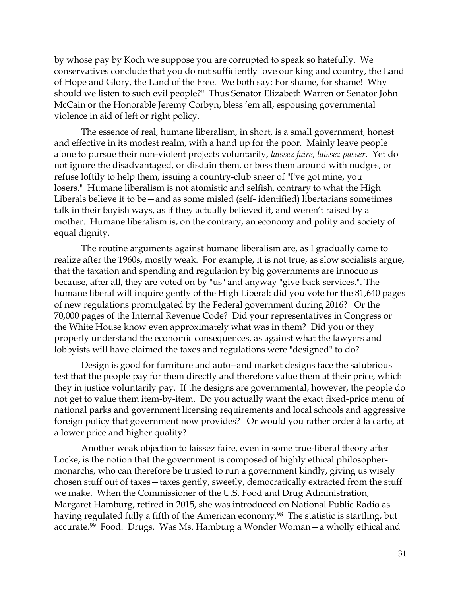by whose pay by Koch we suppose you are corrupted to speak so hatefully. We conservatives conclude that you do not sufficiently love our king and country, the Land of Hope and Glory, the Land of the Free. We both say: For shame, for shame! Why should we listen to such evil people?" Thus Senator Elizabeth Warren or Senator John McCain or the Honorable Jeremy Corbyn, bless 'em all, espousing governmental violence in aid of left or right policy.

The essence of real, humane liberalism, in short, is a small government, honest and effective in its modest realm, with a hand up for the poor. Mainly leave people alone to pursue their non-violent projects voluntarily, *laissez faire*, *laissez passer*. Yet do not ignore the disadvantaged, or disdain them, or boss them around with nudges, or refuse loftily to help them, issuing a country-club sneer of "I've got mine, you losers." Humane liberalism is not atomistic and selfish, contrary to what the High Liberals believe it to be—and as some misled (self- identified) libertarians sometimes talk in their boyish ways, as if they actually believed it, and weren't raised by a mother. Humane liberalism is, on the contrary, an economy and polity and society of equal dignity.

The routine arguments against humane liberalism are, as I gradually came to realize after the 1960s, mostly weak. For example, it is not true, as slow socialists argue, that the taxation and spending and regulation by big governments are innocuous because, after all, they are voted on by "us" and anyway "give back services.". The humane liberal will inquire gently of the High Liberal: did you vote for the 81,640 pages of new regulations promulgated by the Federal government during 2016? Or the 70,000 pages of the Internal Revenue Code? Did your representatives in Congress or the White House know even approximately what was in them? Did you or they properly understand the economic consequences, as against what the lawyers and lobbyists will have claimed the taxes and regulations were "designed" to do?

Design is good for furniture and auto--and market designs face the salubrious test that the people pay for them directly and therefore value them at their price, which they in justice voluntarily pay. If the designs are governmental, however, the people do not get to value them item-by-item. Do you actually want the exact fixed-price menu of national parks and government licensing requirements and local schools and aggressive foreign policy that government now provides? Or would you rather order à la carte, at a lower price and higher quality?

Another weak objection to laissez faire, even in some true-liberal theory after Locke, is the notion that the government is composed of highly ethical philosophermonarchs, who can therefore be trusted to run a government kindly, giving us wisely chosen stuff out of taxes—taxes gently, sweetly, democratically extracted from the stuff we make. When the Commissioner of the U.S. Food and Drug Administration, Margaret Hamburg, retired in 2015, she was introduced on National Public Radio as having regulated fully a fifth of the American economy.<sup>98</sup> The statistic is startling, but accurate.99 Food. Drugs. Was Ms. Hamburg a Wonder Woman—a wholly ethical and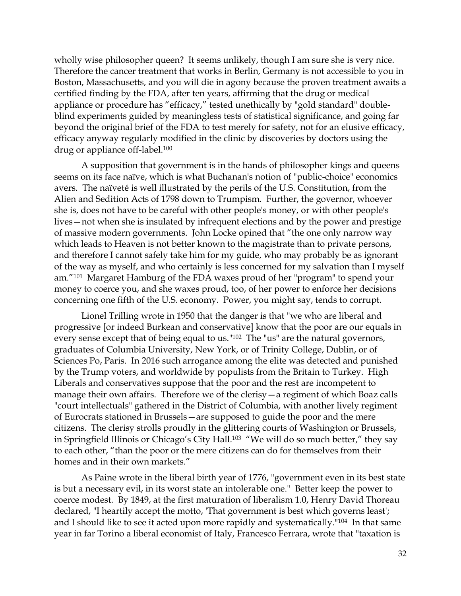wholly wise philosopher queen? It seems unlikely, though I am sure she is very nice. Therefore the cancer treatment that works in Berlin, Germany is not accessible to you in Boston, Massachusetts, and you will die in agony because the proven treatment awaits a certified finding by the FDA, after ten years, affirming that the drug or medical appliance or procedure has "efficacy," tested unethically by "gold standard" doubleblind experiments guided by meaningless tests of statistical significance, and going far beyond the original brief of the FDA to test merely for safety, not for an elusive efficacy, efficacy anyway regularly modified in the clinic by discoveries by doctors using the drug or appliance off-label.<sup>100</sup>

A supposition that government is in the hands of philosopher kings and queens seems on its face naïve, which is what Buchanan's notion of "public-choice" economics avers. The naïveté is well illustrated by the perils of the U.S. Constitution, from the Alien and Sedition Acts of 1798 down to Trumpism. Further, the governor, whoever she is, does not have to be careful with other people's money, or with other people's lives—not when she is insulated by infrequent elections and by the power and prestige of massive modern governments. John Locke opined that "the one only narrow way which leads to Heaven is not better known to the magistrate than to private persons, and therefore I cannot safely take him for my guide, who may probably be as ignorant of the way as myself, and who certainly is less concerned for my salvation than I myself am."101 Margaret Hamburg of the FDA waxes proud of her "program" to spend your money to coerce you, and she waxes proud, too, of her power to enforce her decisions concerning one fifth of the U.S. economy. Power, you might say, tends to corrupt.

Lionel Trilling wrote in 1950 that the danger is that "we who are liberal and progressive [or indeed Burkean and conservative] know that the poor are our equals in every sense except that of being equal to us."102 The "us" are the natural governors, graduates of Columbia University, New York, or of Trinity College, Dublin, or of Sciences Po, Paris. In 2016 such arrogance among the elite was detected and punished by the Trump voters, and worldwide by populists from the Britain to Turkey. High Liberals and conservatives suppose that the poor and the rest are incompetent to manage their own affairs. Therefore we of the clerisy—a regiment of which Boaz calls "court intellectuals" gathered in the District of Columbia, with another lively regiment of Eurocrats stationed in Brussels—are supposed to guide the poor and the mere citizens. The clerisy strolls proudly in the glittering courts of Washington or Brussels, in Springfield Illinois or Chicago's City Hall.<sup>103</sup> "We will do so much better," they say to each other, "than the poor or the mere citizens can do for themselves from their homes and in their own markets."

As Paine wrote in the liberal birth year of 1776, "government even in its best state is but a necessary evil, in its worst state an intolerable one." Better keep the power to coerce modest. By 1849, at the first maturation of liberalism 1.0, Henry David Thoreau declared, "I heartily accept the motto, 'That government is best which governs least'; and I should like to see it acted upon more rapidly and systematically."104 In that same year in far Torino a liberal economist of Italy, Francesco Ferrara, wrote that "taxation is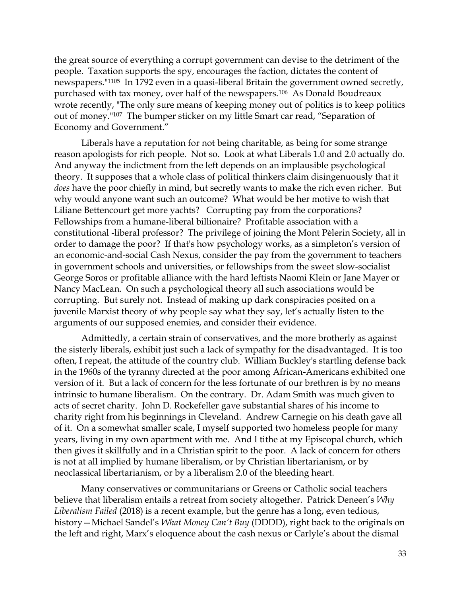the great source of everything a corrupt government can devise to the detriment of the people. Taxation supports the spy, encourages the faction, dictates the content of newspapers."1105 In 1792 even in a quasi-liberal Britain the government owned secretly, purchased with tax money, over half of the newspapers.106 As Donald Boudreaux wrote recently, "The only sure means of keeping money out of politics is to keep politics out of money."<sup>107</sup> The bumper sticker on my little Smart car read, "Separation of Economy and Government."

Liberals have a reputation for not being charitable, as being for some strange reason apologists for rich people. Not so. Look at what Liberals 1.0 and 2.0 actually do. And anyway the indictment from the left depends on an implausible psychological theory. It supposes that a whole class of political thinkers claim disingenuously that it *does* have the poor chiefly in mind, but secretly wants to make the rich even richer. But why would anyone want such an outcome? What would be her motive to wish that Liliane Bettencourt get more yachts? Corrupting pay from the corporations? Fellowships from a humane-liberal billionaire? Profitable association with a constitutional -liberal professor? The privilege of joining the Mont Pèlerin Society, all in order to damage the poor? If that's how psychology works, as a simpleton's version of an economic-and-social Cash Nexus, consider the pay from the government to teachers in government schools and universities, or fellowships from the sweet slow-socialist George Soros or profitable alliance with the hard leftists Naomi Klein or Jane Mayer or Nancy MacLean. On such a psychological theory all such associations would be corrupting. But surely not. Instead of making up dark conspiracies posited on a juvenile Marxist theory of why people say what they say, let's actually listen to the arguments of our supposed enemies, and consider their evidence.

Admittedly, a certain strain of conservatives, and the more brotherly as against the sisterly liberals, exhibit just such a lack of sympathy for the disadvantaged. It is too often, I repeat, the attitude of the country club. William Buckley's startling defense back in the 1960s of the tyranny directed at the poor among African-Americans exhibited one version of it. But a lack of concern for the less fortunate of our brethren is by no means intrinsic to humane liberalism. On the contrary. Dr. Adam Smith was much given to acts of secret charity. John D. Rockefeller gave substantial shares of his income to charity right from his beginnings in Cleveland. Andrew Carnegie on his death gave all of it. On a somewhat smaller scale, I myself supported two homeless people for many years, living in my own apartment with me. And I tithe at my Episcopal church, which then gives it skillfully and in a Christian spirit to the poor. A lack of concern for others is not at all implied by humane liberalism, or by Christian libertarianism, or by neoclassical libertarianism, or by a liberalism 2.0 of the bleeding heart.

Many conservatives or communitarians or Greens or Catholic social teachers believe that liberalism entails a retreat from society altogether. Patrick Deneen's *Why Liberalism Failed* (2018) is a recent example, but the genre has a long, even tedious, history—Michael Sandel's *What Money Can't Buy* (DDDD), right back to the originals on the left and right, Marx's eloquence about the cash nexus or Carlyle's about the dismal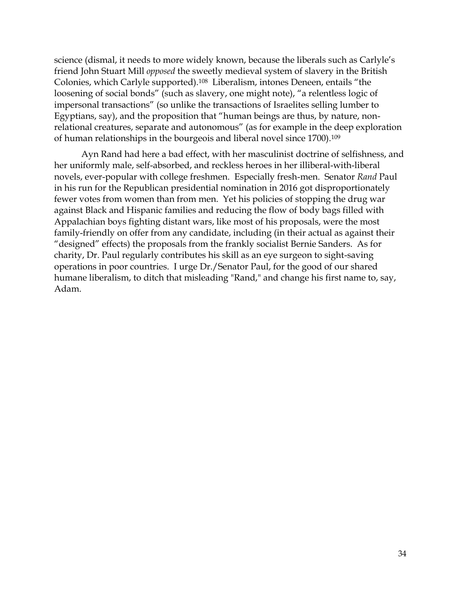science (dismal, it needs to more widely known, because the liberals such as Carlyle's friend John Stuart Mill *opposed* the sweetly medieval system of slavery in the British Colonies, which Carlyle supported).<sup>108</sup> Liberalism, intones Deneen, entails "the loosening of social bonds" (such as slavery, one might note), "a relentless logic of impersonal transactions" (so unlike the transactions of Israelites selling lumber to Egyptians, say), and the proposition that "human beings are thus, by nature, nonrelational creatures, separate and autonomous" (as for example in the deep exploration of human relationships in the bourgeois and liberal novel since 1700).<sup>109</sup>

Ayn Rand had here a bad effect, with her masculinist doctrine of selfishness, and her uniformly male, self-absorbed, and reckless heroes in her illiberal-with-liberal novels, ever-popular with college freshmen. Especially fresh-men. Senator *Rand* Paul in his run for the Republican presidential nomination in 2016 got disproportionately fewer votes from women than from men. Yet his policies of stopping the drug war against Black and Hispanic families and reducing the flow of body bags filled with Appalachian boys fighting distant wars, like most of his proposals, were the most family-friendly on offer from any candidate, including (in their actual as against their "designed" effects) the proposals from the frankly socialist Bernie Sanders. As for charity, Dr. Paul regularly contributes his skill as an eye surgeon to sight-saving operations in poor countries. I urge Dr./Senator Paul, for the good of our shared humane liberalism, to ditch that misleading "Rand," and change his first name to, say, Adam.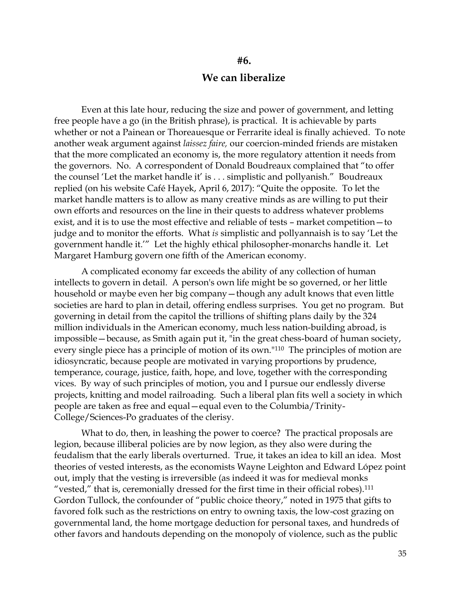### **We can liberalize**

**#6.**

Even at this late hour, reducing the size and power of government, and letting free people have a go (in the British phrase), is practical. It is achievable by parts whether or not a Painean or Thoreauesque or Ferrarite ideal is finally achieved. To note another weak argument against *laissez faire,* our coercion-minded friends are mistaken that the more complicated an economy is, the more regulatory attention it needs from the governors. No. A correspondent of Donald Boudreaux complained that "to offer the counsel 'Let the market handle it' is . . . simplistic and pollyanish." Boudreaux replied (on his website Café Hayek, April 6, 2017): "Quite the opposite. To let the market handle matters is to allow as many creative minds as are willing to put their own efforts and resources on the line in their quests to address whatever problems exist, and it is to use the most effective and reliable of tests – market competition—to judge and to monitor the efforts. What *is* simplistic and pollyannaish is to say 'Let the government handle it.'" Let the highly ethical philosopher-monarchs handle it. Let Margaret Hamburg govern one fifth of the American economy.

A complicated economy far exceeds the ability of any collection of human intellects to govern in detail. A person's own life might be so governed, or her little household or maybe even her big company—though any adult knows that even little societies are hard to plan in detail, offering endless surprises. You get no program. But governing in detail from the capitol the trillions of shifting plans daily by the 324 million individuals in the American economy, much less nation-building abroad, is impossible—because, as Smith again put it, "in the great chess-board of human society, every single piece has a principle of motion of its own."110 The principles of motion are idiosyncratic, because people are motivated in varying proportions by prudence, temperance, courage, justice, faith, hope, and love, together with the corresponding vices. By way of such principles of motion, you and I pursue our endlessly diverse projects, knitting and model railroading. Such a liberal plan fits well a society in which people are taken as free and equal—equal even to the Columbia/Trinity-College/Sciences-Po graduates of the clerisy.

What to do, then, in leashing the power to coerce? The practical proposals are legion, because illiberal policies are by now legion, as they also were during the feudalism that the early liberals overturned. True, it takes an idea to kill an idea. Most theories of vested interests, as the economists Wayne Leighton and Edward López point out, imply that the vesting is irreversible (as indeed it was for medieval monks "vested," that is, ceremonially dressed for the first time in their official robes).<sup>111</sup> Gordon Tullock, the confounder of "public choice theory," noted in 1975 that gifts to favored folk such as the restrictions on entry to owning taxis, the low-cost grazing on governmental land, the home mortgage deduction for personal taxes, and hundreds of other favors and handouts depending on the monopoly of violence, such as the public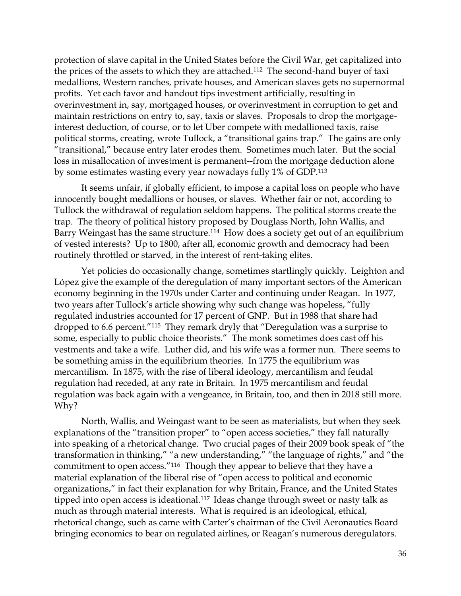protection of slave capital in the United States before the Civil War, get capitalized into the prices of the assets to which they are attached.112 The second-hand buyer of taxi medallions, Western ranches, private houses, and American slaves gets no supernormal profits. Yet each favor and handout tips investment artificially, resulting in overinvestment in, say, mortgaged houses, or overinvestment in corruption to get and maintain restrictions on entry to, say, taxis or slaves. Proposals to drop the mortgageinterest deduction, of course, or to let Uber compete with medallioned taxis, raise political storms, creating, wrote Tullock, a "transitional gains trap." The gains are only "transitional," because entry later erodes them. Sometimes much later. But the social loss in misallocation of investment is permanent--from the mortgage deduction alone by some estimates wasting every year nowadays fully 1% of GDP.<sup>113</sup>

It seems unfair, if globally efficient, to impose a capital loss on people who have innocently bought medallions or houses, or slaves. Whether fair or not, according to Tullock the withdrawal of regulation seldom happens. The political storms create the trap. The theory of political history proposed by Douglass North, John Wallis, and Barry Weingast has the same structure.<sup>114</sup> How does a society get out of an equilibrium of vested interests? Up to 1800, after all, economic growth and democracy had been routinely throttled or starved, in the interest of rent-taking elites.

Yet policies do occasionally change, sometimes startlingly quickly. Leighton and López give the example of the deregulation of many important sectors of the American economy beginning in the 1970s under Carter and continuing under Reagan. In 1977, two years after Tullock's article showing why such change was hopeless, "fully regulated industries accounted for 17 percent of GNP. But in 1988 that share had dropped to 6.6 percent."<sup>115</sup> They remark dryly that "Deregulation was a surprise to some, especially to public choice theorists." The monk sometimes does cast off his vestments and take a wife. Luther did, and his wife was a former nun. There seems to be something amiss in the equilibrium theories. In 1775 the equilibrium was mercantilism. In 1875, with the rise of liberal ideology, mercantilism and feudal regulation had receded, at any rate in Britain. In 1975 mercantilism and feudal regulation was back again with a vengeance, in Britain, too, and then in 2018 still more. Why?

North, Wallis, and Weingast want to be seen as materialists, but when they seek explanations of the "transition proper" to "open access societies," they fall naturally into speaking of a rhetorical change. Two crucial pages of their 2009 book speak of "the transformation in thinking," "a new understanding," "the language of rights," and "the commitment to open access."116 Though they appear to believe that they have a material explanation of the liberal rise of "open access to political and economic organizations," in fact their explanation for why Britain, France, and the United States tipped into open access is ideational.<sup>117</sup> Ideas change through sweet or nasty talk as much as through material interests. What is required is an ideological, ethical, rhetorical change, such as came with Carter's chairman of the Civil Aeronautics Board bringing economics to bear on regulated airlines, or Reagan's numerous deregulators.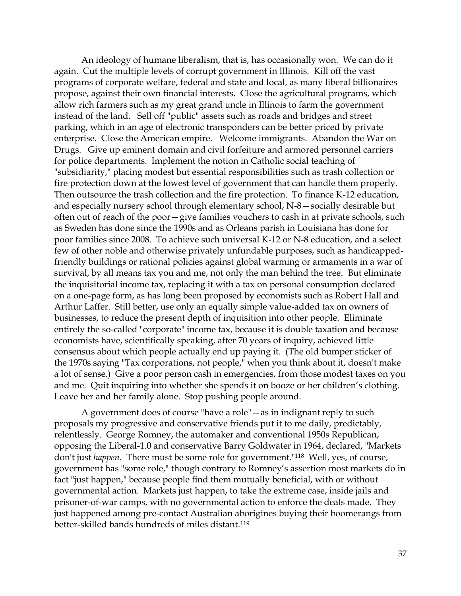An ideology of humane liberalism, that is, has occasionally won. We can do it again. Cut the multiple levels of corrupt government in Illinois. Kill off the vast programs of corporate welfare, federal and state and local, as many liberal billionaires propose, against their own financial interests. Close the agricultural programs, which allow rich farmers such as my great grand uncle in Illinois to farm the government instead of the land. Sell off "public" assets such as roads and bridges and street parking, which in an age of electronic transponders can be better priced by private enterprise. Close the American empire. Welcome immigrants. Abandon the War on Drugs. Give up eminent domain and civil forfeiture and armored personnel carriers for police departments. Implement the notion in Catholic social teaching of "subsidiarity," placing modest but essential responsibilities such as trash collection or fire protection down at the lowest level of government that can handle them properly. Then outsource the trash collection and the fire protection. To finance K-12 education, and especially nursery school through elementary school, N-8—socially desirable but often out of reach of the poor—give families vouchers to cash in at private schools, such as Sweden has done since the 1990s and as Orleans parish in Louisiana has done for poor families since 2008. To achieve such universal K-12 or N-8 education, and a select few of other noble and otherwise privately unfundable purposes, such as handicappedfriendly buildings or rational policies against global warming or armaments in a war of survival, by all means tax you and me, not only the man behind the tree. But eliminate the inquisitorial income tax, replacing it with a tax on personal consumption declared on a one-page form, as has long been proposed by economists such as Robert Hall and Arthur Laffer. Still better, use only an equally simple value-added tax on owners of businesses, to reduce the present depth of inquisition into other people. Eliminate entirely the so-called "corporate" income tax, because it is double taxation and because economists have, scientifically speaking, after 70 years of inquiry, achieved little consensus about which people actually end up paying it. (The old bumper sticker of the 1970s saying "Tax corporations, not people," when you think about it, doesn't make a lot of sense.) Give a poor person cash in emergencies, from those modest taxes on you and me. Quit inquiring into whether she spends it on booze or her children's clothing. Leave her and her family alone. Stop pushing people around.

A government does of course "have a role"—as in indignant reply to such proposals my progressive and conservative friends put it to me daily, predictably, relentlessly. George Romney, the automaker and conventional 1950s Republican, opposing the Liberal-1.0 and conservative Barry Goldwater in 1964, declared, "Markets don't just *happen.* There must be some role for government."118 Well, yes, of course, government has "some role," though contrary to Romney's assertion most markets do in fact "just happen," because people find them mutually beneficial, with or without governmental action. Markets just happen, to take the extreme case, inside jails and prisoner-of-war camps, with no governmental action to enforce the deals made. They just happened among pre-contact Australian aborigines buying their boomerangs from better-skilled bands hundreds of miles distant.119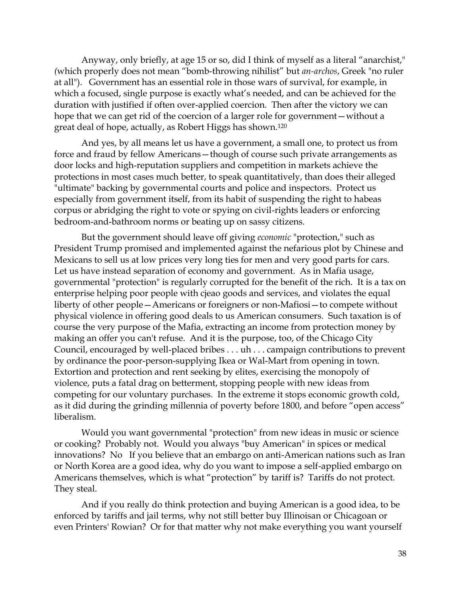Anyway, only briefly, at age 15 or so, did I think of myself as a literal "anarchist," *(*which properly does not mean "bomb-throwing nihilist" but *an-archos*, Greek "no ruler at all"). Government has an essential role in those wars of survival, for example, in which a focused, single purpose is exactly what's needed, and can be achieved for the duration with justified if often over-applied coercion. Then after the victory we can hope that we can get rid of the coercion of a larger role for government—without a great deal of hope, actually, as Robert Higgs has shown.<sup>120</sup>

And yes, by all means let us have a government, a small one, to protect us from force and fraud by fellow Americans—though of course such private arrangements as door locks and high-reputation suppliers and competition in markets achieve the protections in most cases much better, to speak quantitatively, than does their alleged "ultimate" backing by governmental courts and police and inspectors. Protect us especially from government itself, from its habit of suspending the right to habeas corpus or abridging the right to vote or spying on civil-rights leaders or enforcing bedroom-and-bathroom norms or beating up on sassy citizens.

But the government should leave off giving *economic* "protection," such as President Trump promised and implemented against the nefarious plot by Chinese and Mexicans to sell us at low prices very long ties for men and very good parts for cars. Let us have instead separation of economy and government. As in Mafia usage, governmental "protection" is regularly corrupted for the benefit of the rich. It is a tax on enterprise helping poor people with cjeao goods and services, and violates the equal liberty of other people—Americans or foreigners or non-Mafiosi—to compete without physical violence in offering good deals to us American consumers. Such taxation is of course the very purpose of the Mafia, extracting an income from protection money by making an offer you can't refuse. And it is the purpose, too, of the Chicago City Council, encouraged by well-placed bribes . . . uh . . . campaign contributions to prevent by ordinance the poor-person-supplying Ikea or Wal-Mart from opening in town. Extortion and protection and rent seeking by elites, exercising the monopoly of violence, puts a fatal drag on betterment, stopping people with new ideas from competing for our voluntary purchases. In the extreme it stops economic growth cold, as it did during the grinding millennia of poverty before 1800, and before "open access" liberalism.

Would you want governmental "protection" from new ideas in music or science or cooking? Probably not. Would you always "buy American" in spices or medical innovations? No If you believe that an embargo on anti-American nations such as Iran or North Korea are a good idea, why do you want to impose a self-applied embargo on Americans themselves, which is what "protection" by tariff is? Tariffs do not protect. They steal.

And if you really do think protection and buying American is a good idea, to be enforced by tariffs and jail terms, why not still better buy Illinoisan or Chicagoan or even Printers' Rowian? Or for that matter why not make everything you want yourself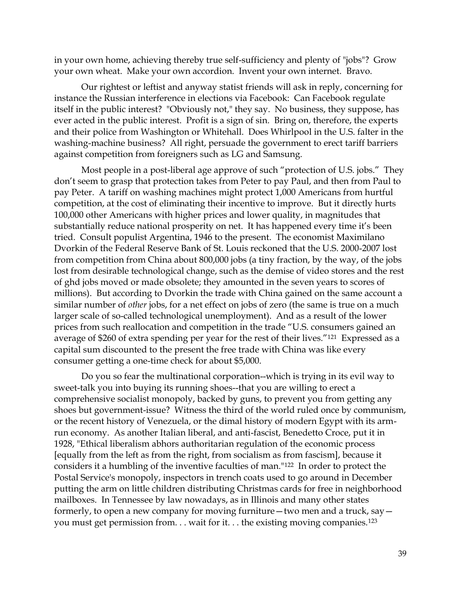in your own home, achieving thereby true self-sufficiency and plenty of "jobs"? Grow your own wheat. Make your own accordion. Invent your own internet. Bravo.

Our rightest or leftist and anyway statist friends will ask in reply, concerning for instance the Russian interference in elections via Facebook: Can Facebook regulate itself in the public interest? "Obviously not," they say. No business, they suppose, has ever acted in the public interest. Profit is a sign of sin. Bring on, therefore, the experts and their police from Washington or Whitehall. Does Whirlpool in the U.S. falter in the washing-machine business? All right, persuade the government to erect tariff barriers against competition from foreigners such as LG and Samsung.

Most people in a post-liberal age approve of such "protection of U.S. jobs." They don't seem to grasp that protection takes from Peter to pay Paul, and then from Paul to pay Peter. A tariff on washing machines might protect 1,000 Americans from hurtful competition, at the cost of eliminating their incentive to improve. But it directly hurts 100,000 other Americans with higher prices and lower quality, in magnitudes that substantially reduce national prosperity on net. It has happened every time it's been tried. Consult populist Argentina, 1946 to the present. The economist Maximilano Dvorkin of the Federal Reserve Bank of St. Louis reckoned that the U.S. 2000-2007 lost from competition from China about 800,000 jobs (a tiny fraction, by the way, of the jobs lost from desirable technological change, such as the demise of video stores and the rest of ghd jobs moved or made obsolete; they amounted in the seven years to scores of millions). But according to Dvorkin the trade with China gained on the same account a similar number of *other* jobs, for a net effect on jobs of zero (the same is true on a much larger scale of so-called technological unemployment). And as a result of the lower prices from such reallocation and competition in the trade "U.S. consumers gained an average of \$260 of extra spending per year for the rest of their lives."121 Expressed as a capital sum discounted to the present the free trade with China was like every consumer getting a one-time check for about \$5,000.

Do you so fear the multinational corporation--which is trying in its evil way to sweet-talk you into buying its running shoes--that you are willing to erect a comprehensive socialist monopoly, backed by guns, to prevent you from getting any shoes but government-issue? Witness the third of the world ruled once by communism, or the recent history of Venezuela, or the dimal history of modern Egypt with its armrun economy. As another Italian liberal, and anti-fascist, Benedetto Croce, put it in 1928, "Ethical liberalism abhors authoritarian regulation of the economic process [equally from the left as from the right, from socialism as from fascism], because it considers it a humbling of the inventive faculties of man."122 In order to protect the Postal Service's monopoly, inspectors in trench coats used to go around in December putting the arm on little children distributing Christmas cards for free in neighborhood mailboxes. In Tennessee by law nowadays, as in Illinois and many other states formerly, to open a new company for moving furniture—two men and a truck, say you must get permission from. . . wait for it. . . the existing moving companies.123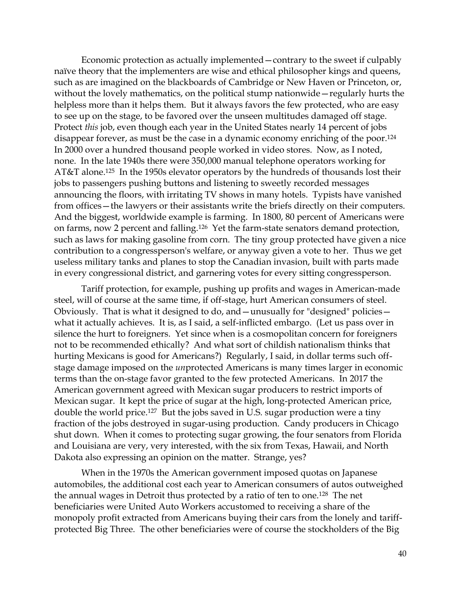Economic protection as actually implemented—contrary to the sweet if culpably naïve theory that the implementers are wise and ethical philosopher kings and queens, such as are imagined on the blackboards of Cambridge or New Haven or Princeton, or, without the lovely mathematics, on the political stump nationwide—regularly hurts the helpless more than it helps them. But it always favors the few protected, who are easy to see up on the stage, to be favored over the unseen multitudes damaged off stage. Protect *this* job, even though each year in the United States nearly 14 percent of jobs disappear forever, as must be the case in a dynamic economy enriching of the poor.<sup>124</sup> In 2000 over a hundred thousand people worked in video stores. Now, as I noted, none. In the late 1940s there were 350,000 manual telephone operators working for AT&T alone.125 In the 1950s elevator operators by the hundreds of thousands lost their jobs to passengers pushing buttons and listening to sweetly recorded messages announcing the floors, with irritating TV shows in many hotels. Typists have vanished from offices—the lawyers or their assistants write the briefs directly on their computers. And the biggest, worldwide example is farming. In 1800, 80 percent of Americans were on farms, now 2 percent and falling.126 Yet the farm-state senators demand protection, such as laws for making gasoline from corn. The tiny group protected have given a nice contribution to a congressperson's welfare, or anyway given a vote to her. Thus we get useless military tanks and planes to stop the Canadian invasion, built with parts made in every congressional district, and garnering votes for every sitting congressperson.

Tariff protection, for example, pushing up profits and wages in American-made steel, will of course at the same time, if off-stage, hurt American consumers of steel. Obviously. That is what it designed to do, and—unusually for "designed" policies what it actually achieves. It is, as I said, a self-inflicted embargo. (Let us pass over in silence the hurt to foreigners. Yet since when is a cosmopolitan concern for foreigners not to be recommended ethically? And what sort of childish nationalism thinks that hurting Mexicans is good for Americans?) Regularly, I said, in dollar terms such offstage damage imposed on the *un*protected Americans is many times larger in economic terms than the on-stage favor granted to the few protected Americans. In 2017 the American government agreed with Mexican sugar producers to restrict imports of Mexican sugar. It kept the price of sugar at the high, long-protected American price, double the world price.127 But the jobs saved in U.S. sugar production were a tiny fraction of the jobs destroyed in sugar-using production. Candy producers in Chicago shut down. When it comes to protecting sugar growing, the four senators from Florida and Louisiana are very, very interested, with the six from Texas, Hawaii, and North Dakota also expressing an opinion on the matter. Strange, yes?

When in the 1970s the American government imposed quotas on Japanese automobiles, the additional cost each year to American consumers of autos outweighed the annual wages in Detroit thus protected by a ratio of ten to one.128 The net beneficiaries were United Auto Workers accustomed to receiving a share of the monopoly profit extracted from Americans buying their cars from the lonely and tariffprotected Big Three. The other beneficiaries were of course the stockholders of the Big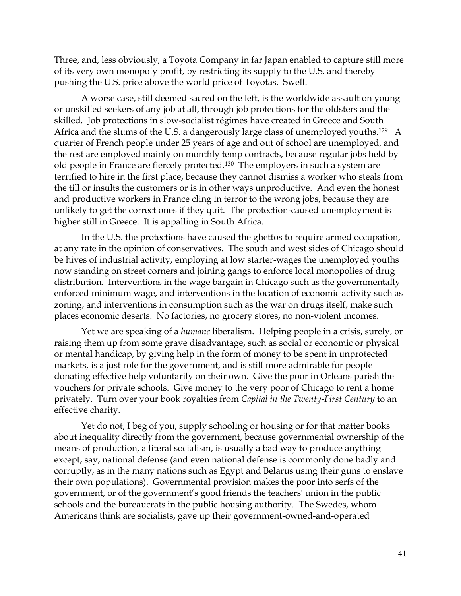Three, and, less obviously, a Toyota Company in far Japan enabled to capture still more of its very own monopoly profit, by restricting its supply to the U.S. and thereby pushing the U.S. price above the world price of Toyotas. Swell.

A worse case, still deemed sacred on the left, is the worldwide assault on young or unskilled seekers of any job at all, through job protections for the oldsters and the skilled. Job protections in slow-socialist régimes have created in Greece and South Africa and the slums of the U.S. a dangerously large class of unemployed youths.<sup>129</sup> A quarter of French people under 25 years of age and out of school are unemployed, and the rest are employed mainly on monthly temp contracts, because regular jobs held by old people in France are fiercely protected.130 The employers in such a system are terrified to hire in the first place, because they cannot dismiss a worker who steals from the till or insults the customers or is in other ways unproductive. And even the honest and productive workers in France cling in terror to the wrong jobs, because they are unlikely to get the correct ones if they quit. The protection-caused unemployment is higher still in Greece. It is appalling in South Africa.

In the U.S. the protections have caused the ghettos to require armed occupation, at any rate in the opinion of conservatives. The south and west sides of Chicago should be hives of industrial activity, employing at low starter-wages the unemployed youths now standing on street corners and joining gangs to enforce local monopolies of drug distribution. Interventions in the wage bargain in Chicago such as the governmentally enforced minimum wage, and interventions in the location of economic activity such as zoning, and interventions in consumption such as the war on drugs itself, make such places economic deserts. No factories, no grocery stores, no non-violent incomes.

Yet we are speaking of a *humane* liberalism. Helping people in a crisis, surely, or raising them up from some grave disadvantage, such as social or economic or physical or mental handicap, by giving help in the form of money to be spent in unprotected markets, is a just role for the government, and is still more admirable for people donating effective help voluntarily on their own. Give the poor in Orleans parish the vouchers for private schools. Give money to the very poor of Chicago to rent a home privately. Turn over your book royalties from *Capital in the Twenty-First Century* to an effective charity.

Yet do not, I beg of you, supply schooling or housing or for that matter books about inequality directly from the government, because governmental ownership of the means of production, a literal socialism, is usually a bad way to produce anything except, say, national defense (and even national defense is commonly done badly and corruptly, as in the many nations such as Egypt and Belarus using their guns to enslave their own populations). Governmental provision makes the poor into serfs of the government, or of the government's good friends the teachers' union in the public schools and the bureaucrats in the public housing authority. The Swedes, whom Americans think are socialists, gave up their government-owned-and-operated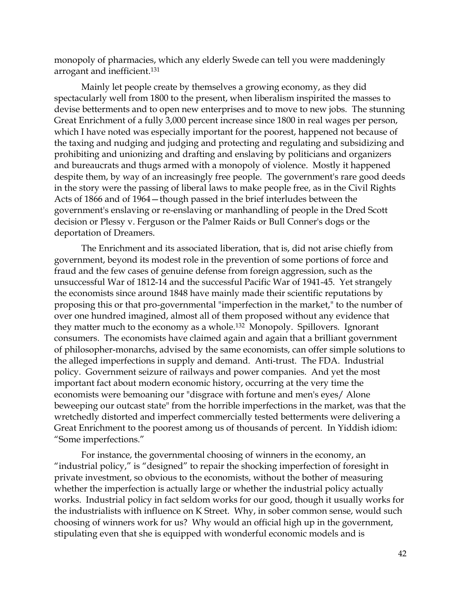monopoly of pharmacies, which any elderly Swede can tell you were maddeningly arrogant and inefficient.<sup>131</sup>

Mainly let people create by themselves a growing economy, as they did spectacularly well from 1800 to the present, when liberalism inspirited the masses to devise betterments and to open new enterprises and to move to new jobs. The stunning Great Enrichment of a fully 3,000 percent increase since 1800 in real wages per person, which I have noted was especially important for the poorest, happened not because of the taxing and nudging and judging and protecting and regulating and subsidizing and prohibiting and unionizing and drafting and enslaving by politicians and organizers and bureaucrats and thugs armed with a monopoly of violence. Mostly it happened despite them, by way of an increasingly free people. The government's rare good deeds in the story were the passing of liberal laws to make people free, as in the Civil Rights Acts of 1866 and of 1964—though passed in the brief interludes between the government's enslaving or re-enslaving or manhandling of people in the Dred Scott decision or Plessy v. Ferguson or the Palmer Raids or Bull Conner's dogs or the deportation of Dreamers.

The Enrichment and its associated liberation, that is, did not arise chiefly from government, beyond its modest role in the prevention of some portions of force and fraud and the few cases of genuine defense from foreign aggression, such as the unsuccessful War of 1812-14 and the successful Pacific War of 1941-45. Yet strangely the economists since around 1848 have mainly made their scientific reputations by proposing this or that pro-governmental "imperfection in the market," to the number of over one hundred imagined, almost all of them proposed without any evidence that they matter much to the economy as a whole.<sup>132</sup> Monopoly. Spillovers. Ignorant consumers. The economists have claimed again and again that a brilliant government of philosopher-monarchs, advised by the same economists, can offer simple solutions to the alleged imperfections in supply and demand. Anti-trust. The FDA. Industrial policy. Government seizure of railways and power companies. And yet the most important fact about modern economic history, occurring at the very time the economists were bemoaning our "disgrace with fortune and men's eyes/ Alone beweeping our outcast state" from the horrible imperfections in the market, was that the wretchedly distorted and imperfect commercially tested betterments were delivering a Great Enrichment to the poorest among us of thousands of percent. In Yiddish idiom: "Some imperfections."

For instance, the governmental choosing of winners in the economy, an "industrial policy," is "designed" to repair the shocking imperfection of foresight in private investment, so obvious to the economists, without the bother of measuring whether the imperfection is actually large or whether the industrial policy actually works. Industrial policy in fact seldom works for our good, though it usually works for the industrialists with influence on K Street. Why, in sober common sense, would such choosing of winners work for us? Why would an official high up in the government, stipulating even that she is equipped with wonderful economic models and is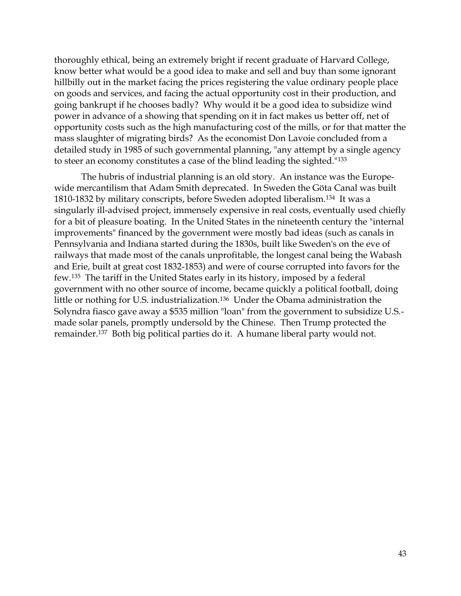thoroughly ethical, being an extremely bright if recent graduate of Harvard College, know better what would be a good idea to make and sell and buy than some ignorant hillbilly out in the market facing the prices registering the value ordinary people place on goods and services, and facing the actual opportunity cost in their production, and going bankrupt if he chooses badly? Why would it be a good idea to subsidize wind power in advance of a showing that spending on it in fact makes us better off, net of opportunity costs such as the high manufacturing cost of the mills, or for that matter the mass slaughter of migrating birds? As the economist Don Lavoie concluded from a detailed study in 1985 of such governmental planning, "any attempt by a single agency to steer an economy constitutes a case of the blind leading the sighted."<sup>133</sup>

The hubris of industrial planning is an old story. An instance was the Europewide mercantilism that Adam Smith deprecated. In Sweden the Göta Canal was built 1810-1832 by military conscripts, before Sweden adopted liberalism.<sup>134</sup> It was a singularly ill-advised project, immensely expensive in real costs, eventually used chiefly for a bit of pleasure boating. In the United States in the nineteenth century the "internal improvements" financed by the government were mostly bad ideas (such as canals in Pennsylvania and Indiana started during the 1830s, built like Sweden's on the eve of railways that made most of the canals unprofitable, the longest canal being the Wabash and Erie, built at great cost 1832-1853) and were of course corrupted into favors for the few.<sup>135</sup> The tariff in the United States early in its history, imposed by a federal government with no other source of income, became quickly a political football, doing little or nothing for U.S. industrialization.<sup>136</sup> Under the Obama administration the Solyndra fiasco gave away a \$535 million "loan" from the government to subsidize U.S. made solar panels, promptly undersold by the Chinese. Then Trump protected the remainder.137 Both big political parties do it. A humane liberal party would not.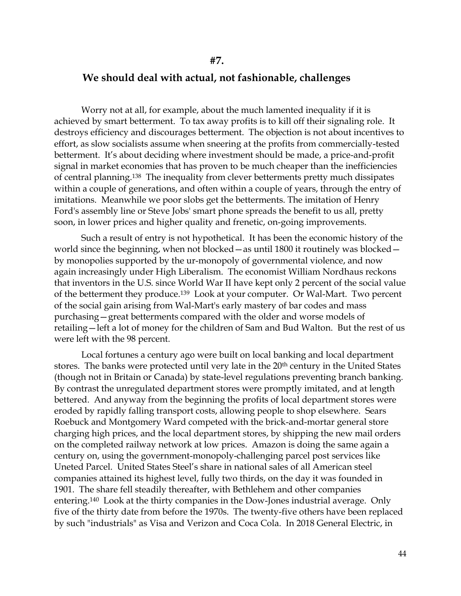#### **We should deal with actual, not fashionable, challenges**

Worry not at all, for example, about the much lamented inequality if it is achieved by smart betterment. To tax away profits is to kill off their signaling role. It destroys efficiency and discourages betterment. The objection is not about incentives to effort, as slow socialists assume when sneering at the profits from commercially-tested betterment. It's about deciding where investment should be made, a price-and-profit signal in market economies that has proven to be much cheaper than the inefficiencies of central planning.138 The inequality from clever betterments pretty much dissipates within a couple of generations, and often within a couple of years, through the entry of imitations. Meanwhile we poor slobs get the betterments. The imitation of Henry Ford's assembly line or Steve Jobs' smart phone spreads the benefit to us all, pretty soon, in lower prices and higher quality and frenetic, on-going improvements.

Such a result of entry is not hypothetical. It has been the economic history of the world since the beginning, when not blocked—as until 1800 it routinely was blocked by monopolies supported by the ur-monopoly of governmental violence, and now again increasingly under High Liberalism. The economist William Nordhaus reckons that inventors in the U.S. since World War II have kept only 2 percent of the social value of the betterment they produce.<sup>139</sup> Look at your computer. Or Wal-Mart. Two percent of the social gain arising from Wal-Mart's early mastery of bar codes and mass purchasing—great betterments compared with the older and worse models of retailing—left a lot of money for the children of Sam and Bud Walton. But the rest of us were left with the 98 percent.

Local fortunes a century ago were built on local banking and local department stores. The banks were protected until very late in the 20<sup>th</sup> century in the United States (though not in Britain or Canada) by state-level regulations preventing branch banking. By contrast the unregulated department stores were promptly imitated, and at length bettered. And anyway from the beginning the profits of local department stores were eroded by rapidly falling transport costs, allowing people to shop elsewhere. Sears Roebuck and Montgomery Ward competed with the brick-and-mortar general store charging high prices, and the local department stores, by shipping the new mail orders on the completed railway network at low prices. Amazon is doing the same again a century on, using the government-monopoly-challenging parcel post services like Uneted Parcel. United States Steel's share in national sales of all American steel companies attained its highest level, fully two thirds, on the day it was founded in 1901. The share fell steadily thereafter, with Bethlehem and other companies entering.<sup>140</sup> Look at the thirty companies in the Dow-Jones industrial average. Only five of the thirty date from before the 1970s. The twenty-five others have been replaced by such "industrials" as Visa and Verizon and Coca Cola. In 2018 General Electric, in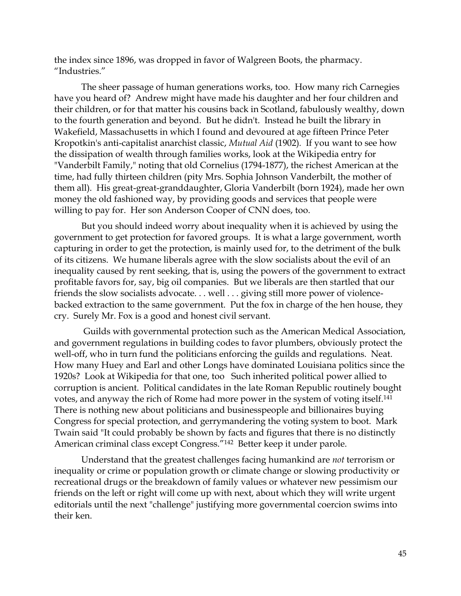the index since 1896, was dropped in favor of Walgreen Boots, the pharmacy. "Industries."

The sheer passage of human generations works, too. How many rich Carnegies have you heard of? Andrew might have made his daughter and her four children and their children, or for that matter his cousins back in Scotland, fabulously wealthy, down to the fourth generation and beyond. But he didn't. Instead he built the library in Wakefield, Massachusetts in which I found and devoured at age fifteen Prince Peter Kropotkin's anti-capitalist anarchist classic, *Mutual Aid* (1902)*.* If you want to see how the dissipation of wealth through families works, look at the Wikipedia entry for "Vanderbilt Family," noting that old Cornelius (1794-1877), the richest American at the time, had fully thirteen children (pity Mrs. Sophia Johnson Vanderbilt, the mother of them all). His great-great-granddaughter, Gloria Vanderbilt (born 1924), made her own money the old fashioned way, by providing goods and services that people were willing to pay for. Her son Anderson Cooper of CNN does, too.

But you should indeed worry about inequality when it is achieved by using the government to get protection for favored groups. It is what a large government, worth capturing in order to get the protection, is mainly used for, to the detriment of the bulk of its citizens. We humane liberals agree with the slow socialists about the evil of an inequality caused by rent seeking, that is, using the powers of the government to extract profitable favors for, say, big oil companies. But we liberals are then startled that our friends the slow socialists advocate. . . well . . . giving still more power of violencebacked extraction to the same government. Put the fox in charge of the hen house, they cry. Surely Mr. Fox is a good and honest civil servant.

Guilds with governmental protection such as the American Medical Association, and government regulations in building codes to favor plumbers, obviously protect the well-off, who in turn fund the politicians enforcing the guilds and regulations. Neat. How many Huey and Earl and other Longs have dominated Louisiana politics since the 1920s? Look at Wikipedia for that one, too Such inherited political power allied to corruption is ancient. Political candidates in the late Roman Republic routinely bought votes, and anyway the rich of Rome had more power in the system of voting itself.<sup>141</sup> There is nothing new about politicians and businesspeople and billionaires buying Congress for special protection, and gerrymandering the voting system to boot. Mark Twain said "It could probably be shown by facts and figures that there is no distinctly American criminal class except Congress."142 Better keep it under parole.

Understand that the greatest challenges facing humankind are *not* terrorism or inequality or crime or population growth or climate change or slowing productivity or recreational drugs or the breakdown of family values or whatever new pessimism our friends on the left or right will come up with next, about which they will write urgent editorials until the next "challenge" justifying more governmental coercion swims into their ken.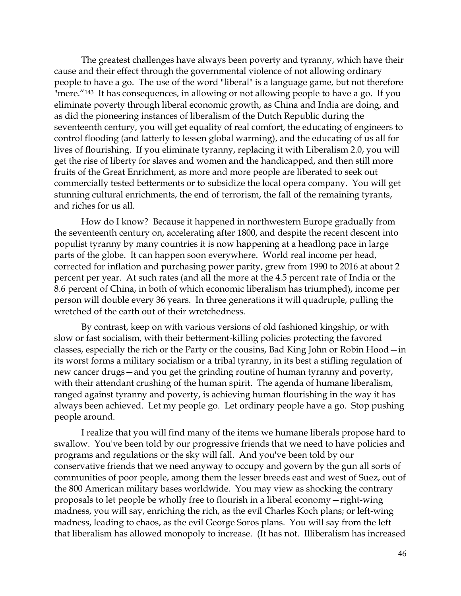The greatest challenges have always been poverty and tyranny, which have their cause and their effect through the governmental violence of not allowing ordinary people to have a go. The use of the word "liberal" is a language game, but not therefore "mere."<sup>143</sup> It has consequences, in allowing or not allowing people to have a go. If you eliminate poverty through liberal economic growth, as China and India are doing, and as did the pioneering instances of liberalism of the Dutch Republic during the seventeenth century, you will get equality of real comfort, the educating of engineers to control flooding (and latterly to lessen global warming), and the educating of us all for lives of flourishing. If you eliminate tyranny, replacing it with Liberalism 2.0, you will get the rise of liberty for slaves and women and the handicapped, and then still more fruits of the Great Enrichment, as more and more people are liberated to seek out commercially tested betterments or to subsidize the local opera company. You will get stunning cultural enrichments, the end of terrorism, the fall of the remaining tyrants, and riches for us all.

How do I know? Because it happened in northwestern Europe gradually from the seventeenth century on, accelerating after 1800, and despite the recent descent into populist tyranny by many countries it is now happening at a headlong pace in large parts of the globe. It can happen soon everywhere. World real income per head, corrected for inflation and purchasing power parity, grew from 1990 to 2016 at about 2 percent per year. At such rates (and all the more at the 4.5 percent rate of India or the 8.6 percent of China, in both of which economic liberalism has triumphed), income per person will double every 36 years. In three generations it will quadruple, pulling the wretched of the earth out of their wretchedness.

By contrast, keep on with various versions of old fashioned kingship, or with slow or fast socialism, with their betterment-killing policies protecting the favored classes, especially the rich or the Party or the cousins, Bad King John or Robin Hood—in its worst forms a military socialism or a tribal tyranny, in its best a stifling regulation of new cancer drugs—and you get the grinding routine of human tyranny and poverty, with their attendant crushing of the human spirit. The agenda of humane liberalism, ranged against tyranny and poverty, is achieving human flourishing in the way it has always been achieved. Let my people go. Let ordinary people have a go. Stop pushing people around.

I realize that you will find many of the items we humane liberals propose hard to swallow. You've been told by our progressive friends that we need to have policies and programs and regulations or the sky will fall. And you've been told by our conservative friends that we need anyway to occupy and govern by the gun all sorts of communities of poor people, among them the lesser breeds east and west of Suez, out of the 800 American military bases worldwide. You may view as shocking the contrary proposals to let people be wholly free to flourish in a liberal economy—right-wing madness, you will say, enriching the rich, as the evil Charles Koch plans; or left-wing madness, leading to chaos, as the evil George Soros plans. You will say from the left that liberalism has allowed monopoly to increase. (It has not. Illiberalism has increased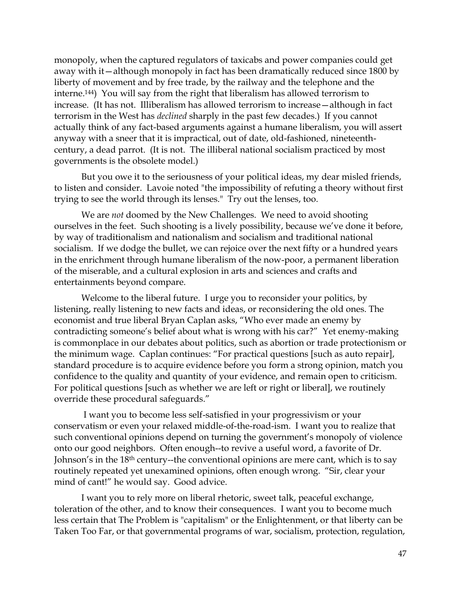monopoly, when the captured regulators of taxicabs and power companies could get away with it—although monopoly in fact has been dramatically reduced since 1800 by liberty of movement and by free trade, by the railway and the telephone and the interne.144) You will say from the right that liberalism has allowed terrorism to increase. (It has not. Illiberalism has allowed terrorism to increase—although in fact terrorism in the West has *declined* sharply in the past few decades.) If you cannot actually think of any fact-based arguments against a humane liberalism, you will assert anyway with a sneer that it is impractical, out of date, old-fashioned, nineteenthcentury, a dead parrot. (It is not. The illiberal national socialism practiced by most governments is the obsolete model.)

But you owe it to the seriousness of your political ideas, my dear misled friends, to listen and consider. Lavoie noted "the impossibility of refuting a theory without first trying to see the world through its lenses." Try out the lenses, too.

We are *not* doomed by the New Challenges. We need to avoid shooting ourselves in the feet. Such shooting is a lively possibility, because we've done it before, by way of traditionalism and nationalism and socialism and traditional national socialism. If we dodge the bullet, we can rejoice over the next fifty or a hundred years in the enrichment through humane liberalism of the now-poor, a permanent liberation of the miserable, and a cultural explosion in arts and sciences and crafts and entertainments beyond compare.

Welcome to the liberal future. I urge you to reconsider your politics, by listening, really listening to new facts and ideas, or reconsidering the old ones. The economist and true liberal Bryan Caplan asks, "Who ever made an enemy by contradicting someone's belief about what is wrong with his car?" Yet enemy-making is commonplace in our debates about politics, such as abortion or trade protectionism or the minimum wage. Caplan continues: "For practical questions [such as auto repair], standard procedure is to acquire evidence before you form a strong opinion, match you confidence to the quality and quantity of your evidence, and remain open to criticism. For political questions [such as whether we are left or right or liberal], we routinely override these procedural safeguards."

I want you to become less self-satisfied in your progressivism or your conservatism or even your relaxed middle-of-the-road-ism. I want you to realize that such conventional opinions depend on turning the government's monopoly of violence onto our good neighbors. Often enough--to revive a useful word, a favorite of Dr. Johnson's in the 18th century--the conventional opinions are mere cant, which is to say routinely repeated yet unexamined opinions, often enough wrong. "Sir, clear your mind of cant!" he would say. Good advice.

I want you to rely more on liberal rhetoric, sweet talk, peaceful exchange, toleration of the other, and to know their consequences. I want you to become much less certain that The Problem is "capitalism" or the Enlightenment, or that liberty can be Taken Too Far, or that governmental programs of war, socialism, protection, regulation,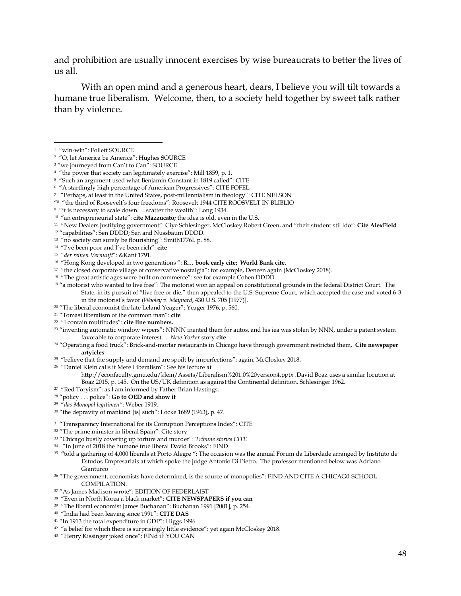and prohibition are usually innocent exercises by wise bureaucrats to better the lives of us all.

With an open mind and a generous heart, dears, I believe you will tilt towards a humane true liberalism. Welcome, then, to a society held together by sweet talk rather than by violence.

 $\overline{a}$ 

<sup>3</sup> "we journeyed from Can't to Can": SOURCE

- 5 "Such an argument used what Benjamin Constant in 1819 called": CITE
- 6 "A startlingly high percentage of American Progressives": CITE FOFEL
- 7 "Perhaps, at least in the United States, post-millennialism in theology": CITE NELSON
- " 8 "the third of Roosevelt's four freedoms": Roosevelt 1944 CITE ROOSVELT IN BLIBLIO

10 "an entrepreneurial state": **cite Mazzucato;** the idea is old, even in the U.S.

<sup>11</sup> "New Dealers justifying government": Ciye Schlesinger, McCloskey Robert Green, and "their student stil Ido": Cite AlexField

- <sup>12</sup> "capabilities": Sen DDDD; Sen and Nussbaum DDDD.
- 13 "no society can surely be flourishing": Smith1776I. p. 88.
- 14 "I've been poor and I've been rich": **cite**
- 15 "*der reinen Vernunft*": &Kant 1791.
- 16 "Hong Kong developed in two generations ": **R… book early cite; World Bank cite.**
- <sup>17</sup> "the closed corporate village of conservative nostalgia": for example, Deneen again (McCloskey 2018).
- <sup>18</sup> "The great artistic ages were built on commerce": see for example Cohen DDDD.
- <sup>19</sup> "a motorist who wanted to live free": The motorist won an appeal on constitutional grounds in the federal District Court. The State, in its pursuit of "live free or die," then appealed to the U.S. Supreme Court, which accepted the case and voted 6-3 in the motorist's favor (*Wooley v. Maynard*, 430 U.S. 705 [1977)].
- <sup>20</sup> "The liberal economist the late Leland Yeager": Yeager 1976, p. 560.
- <sup>21</sup> "Tomasi liberalism of the common man": **cite**
- 22 "I contain multitudes": **cite line numbers.**
- $23$  "inventing automatic window wipers": NNNN inented them for autos, and his iea was stolen by NNN, under a patent system favorable to corporate interest. . *New Yorker* story **cite**
- <sup>24</sup> "Operating a food truck": Brick-and-mortar restaurants in Chicago have through government restricted them, **Cite newspaper artyicles**
- <sup>25</sup> "believe that the supply and demand are spoilt by imperfections": again, McCloskey 2018.
- 26 "Daniel Klein calls it Mere Liberalism": See his lecture at

<http://econfaculty.gmu.edu/klein/Assets/Liberalism%201.0%20version4.pptx> .David Boaz uses a similar locution at Boaz 2015, p. 145. On the US/UK definition as against the Continental definition, Schlesinger 1962.

- 27 "Red Toryism": as I am informed by Father Brian Hastings.
- <sup>28</sup> "policy . . . police": **Go to OED and show it**
- 29 "*das Monopol legitimen"*: Weber 1919.

- <sup>31</sup> "Transparency International for its Corruption Perceptions Index": CITE
- <sup>32</sup> "The prime minister in liberal Spain": Cite story
- <sup>33</sup> "Chicago busily covering up torture and murder": *Tribune stories CITE*
- 34 "In June of 2018 the humane true liberal David Brooks": FIND
- 35 **"**told a gathering of 4,000 liberals at Porto Alegre **":** The occasion was the annual Fórum da Liberdade arranged by Instituto de Estudos Empresariais at which spoke the judge Antonio Di Pietro. The professor mentioned below was Adriano Gianturco
- <sup>36</sup> "The government, economists have determined, is the source of monopolies": FIND AND CITE A CHICAG0-SCHOOL COMPILATION.
- <sup>37</sup> "As James Madison wrote": EDITION OF FEDERLAIST
- 38 "Even in North Korea a black market": **CITE NEWSPAPERS if you can**
- 39 "The liberal economist James Buchanan": Buchanan 1991 [2001], p. 254.
- 40 "India had been leaving since 1991": **CITE DAS**
- <sup>41</sup> "In 1913 the total expenditure in GDP": Higgs 1996.
- $42$  "a belief for which there is surprisingly little evidence": yet again McCloskey 2018.
- 43 "Henry Kissinger joked once": FINd iF YOU CAN

<sup>1</sup> "win-win": Follett SOURCE

<sup>2</sup> "O, let America be America": Hughes SOURCE

<sup>&</sup>lt;sup>4</sup> "the power that society can legitimately exercise": Mill 1859, p. 1.

 $^9$  "it is necessary to scale down. . . scatter the wealth": Long 1934.

<sup>30</sup> "the depravity of mankind [is] such": Locke 1689 (1963), p. 47.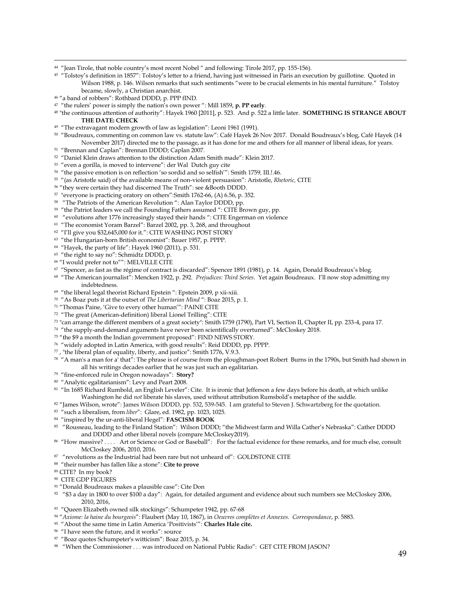"Jean Tirole, that noble country's most recent Nobel " and following: Tirole 2017, pp. 155-156).

<sup>45</sup> "Tolstoy's definition in 1857": Tolstoy's letter to a friend, having just witnessed in Paris an execution by guillotine. Quoted in Wilson 1988, p. 146. Wilson remarks that such sentiments "were to be crucial elements in his mental furniture." Tolstoy became, slowly, a Christian anarchist.

"a band of robbers": Rothbard DDDD, p. PPP fIND.

 $\ddot{\phantom{a}}$ 

- "the rulers' power is simply the nation's own power ": Mill 1859, **p. PP early**.
- "the continuous attention of authority": Hayek 1960 [2011], p. 523. And p. 522 a little later. **SOMETHING IS STRANGE ABOUT THE DATE: CHECK**
- "The extravagant modern growth of law as legislation": Leoni 1961 (1991).
- "Boudreaux, commenting on common law vs. statute law": Café Hayek 26 Nov 2017. Donald Boudreaux's blog, Café Hayek (14 November 2017) directed me to the passage, as it has done for me and others for all manner of liberal ideas, for years.
- "Brennan and Caplan": Brennan DDDD; Caplan 2007.
- "Daniel Klein draws attention to the distinction Adam Smith made": Klein 2017.
- "even a gorilla, is moved to intervene": der Wal Dutch guy cite
- "the passive emotion is on reflection 'so sordid and so selfish'": Smith 1759*,* III.!.46.
- "(as Aristotle said) of the available means of non-violent persuasion": Aristotle, *Rhetoric,* CITE
- "they were certain they had discerned The Truth": see &Booth DDDD.
- "everyone is practicing oratory on others":Smith 1762-66, (A) 6.56, p. 352.
- "The Patriots of the American Revolution ": Alan Taylor DDDD, pp.
- <sup>59</sup> "the Patriot leaders we call the Founding Fathers assumed ": CITE Brown guy, pp.
- "evolutions after 1776 increasingly stayed their hands ": CITE Engerman on violence
- "The economist Yoram Barzel": Barzel 2002, pp. 3, 268, and throughout
- "I'll give you \$32,645,000 for it.": CITE WASHING POST STORY
- "the Hungarian-born British economist": Bauer 1957, p. PPPP.
- "Hayek, the party of life": Hayek 1960 (2011), p. 531.
- "the right to say no": Schmidtz DDDD, p.
- "I would prefer not to"": MELVILLE CITE
- "Spencer, as fast as the régime of contract is discarded": Spencer 1891 (1981), p. 14. Again, Donald Boudreaux's blog.
- "The American journalist": Mencken 1922, p. 292. *Prejudices: Third Series*. Yet again Boudreaux. I'll now stop admitting my indebtedness.
- "the liberal legal theorist Richard Epstein ": Epstein 2009, p xii-xiii.
- "As Boaz puts it at the outset of *The Libertarian Mind* ": Boaz 2015, p. 1.
- "Thomas Paine, 'Give to every other human'": PAINE CITE
- "The great (American-definition) liberal Lionel Trilling": CITE
- "can arrange the different members of a great society": Smith 1759 (1790), Part VI, Section II, Chapter II, pp. 233-4, para 17.
- "the supply-and-demand arguments have never been scientifically overturned": McCloskey 2018.
- "the \$9 a month the Indian government proposed": FIND NEWS STORY.
- "widely adopted in Latin America, with good results": Reid DDDD, pp. PPPP.
- , "the liberal plan of equality, liberty, and justice": Smith 1776, V.9.3.
- "A man's a man for a' that": The phrase is of course from the ploughman-poet Robert Burns in the 1790s, but Smith had shown in all his writings decades earlier that he was just such an egalitarian.
- "fine-enforced rule in Oregon nowadays": **Story?**
- "Analytic egalitarianism": Levy and Peart 2008.
- "In 1685 Richard Rumbold, an English Leveler": Cite. It is ironic that Jefferson a few days before his death, at which unlike Washington he did *not* liberate his slaves, used without attribution Rumsbold's metaphor of the saddle.
- 82 "James Wilson, wrote": James Wilson DDDD, pp. 532, 539-545. I am grateful to Steven J. Schwartzberg for the quotation.
- "such a liberalism, from *liber*": Glare, ed. 1982, pp. 1023, 1025.
- "inspired by the ur-anti-liberal Hegel": **FASCISM BOOK**
- "Rousseau, leading to the Finland Station": Wilson DDDD; "the Midwest farm and Willa Cather's Nebraska": Cather DDDD and DDDD and other liberal novels (compare McCloskey2019).
- "How massive? . . . . Art or Science or God or Baseball": For the factual evidence for these remarks, and for much else, consult McCloskey 2006, 2010, 2016.
- "revolutions as the Industrial had been rare but not unheard of": GOLDSTONE CITE
- "their number has fallen like a stone": **Cite to prove**
- CITE? In my book?
- CITE GDP FIGURES
- "Donald Boudreaux makes a plausible case": Cite Don
- "\$3 a day in 1800 to over \$100 a day": Again, for detailed argument and evidence about such numbers see McCloskey 2006, 2010, 2016,
- "Queen Elizabeth owned silk stockings": Schumpeter 1942, pp. 67-68
- "*Axiome: la haine du bourgeois*": Flaubert (May 10, 1867), in *Oeuvres complètes et Annexes. Correspondance*, p. 5883.
- "About the same time in Latin America 'Positivists'": **Charles Hale cite.**
- "I have seen the future, and it works": source
- "Boaz quotes Schumpeter's witticism": Boaz 2015, p. 34.
- "When the Commissioner . . . was introduced on National Public Radio": GET CITE FROM JASON?